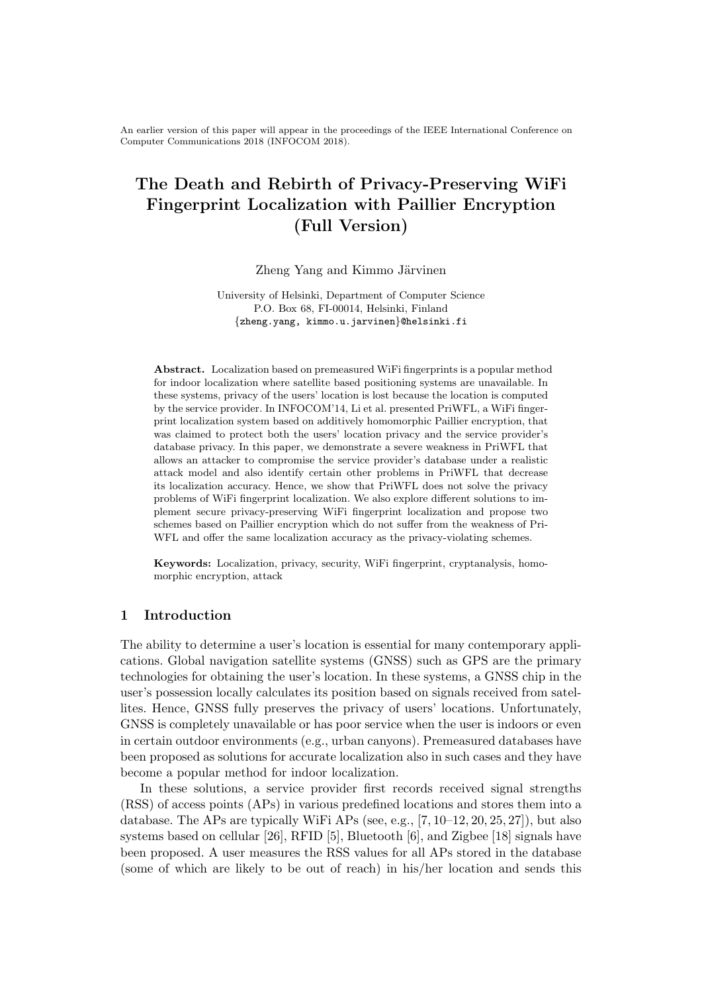An earlier version of this paper will appear in the proceedings of the IEEE International Conference on Computer Communications 2018 (INFOCOM 2018).

# The Death and Rebirth of Privacy-Preserving WiFi Fingerprint Localization with Paillier Encryption (Full Version)

Zheng Yang and Kimmo Järvinen

University of Helsinki, Department of Computer Science P.O. Box 68, FI-00014, Helsinki, Finland {zheng.yang, kimmo.u.jarvinen}@helsinki.fi

Abstract. Localization based on premeasured WiFi fingerprints is a popular method for indoor localization where satellite based positioning systems are unavailable. In these systems, privacy of the users' location is lost because the location is computed by the service provider. In INFOCOM'14, Li et al. presented PriWFL, a WiFi fingerprint localization system based on additively homomorphic Paillier encryption, that was claimed to protect both the users' location privacy and the service provider's database privacy. In this paper, we demonstrate a severe weakness in PriWFL that allows an attacker to compromise the service provider's database under a realistic attack model and also identify certain other problems in PriWFL that decrease its localization accuracy. Hence, we show that PriWFL does not solve the privacy problems of WiFi fingerprint localization. We also explore different solutions to implement secure privacy-preserving WiFi fingerprint localization and propose two schemes based on Paillier encryption which do not suffer from the weakness of Pri-WFL and offer the same localization accuracy as the privacy-violating schemes.

Keywords: Localization, privacy, security, WiFi fingerprint, cryptanalysis, homomorphic encryption, attack

## 1 Introduction

The ability to determine a user's location is essential for many contemporary applications. Global navigation satellite systems (GNSS) such as GPS are the primary technologies for obtaining the user's location. In these systems, a GNSS chip in the user's possession locally calculates its position based on signals received from satellites. Hence, GNSS fully preserves the privacy of users' locations. Unfortunately, GNSS is completely unavailable or has poor service when the user is indoors or even in certain outdoor environments (e.g., urban canyons). Premeasured databases have been proposed as solutions for accurate localization also in such cases and they have become a popular method for indoor localization.

In these solutions, a service provider first records received signal strengths (RSS) of access points (APs) in various predefined locations and stores them into a database. The APs are typically WiFi APs (see, e.g.,  $[7, 10-12, 20, 25, 27]$ ), but also systems based on cellular [26], RFID [5], Bluetooth [6], and Zigbee [18] signals have been proposed. A user measures the RSS values for all APs stored in the database (some of which are likely to be out of reach) in his/her location and sends this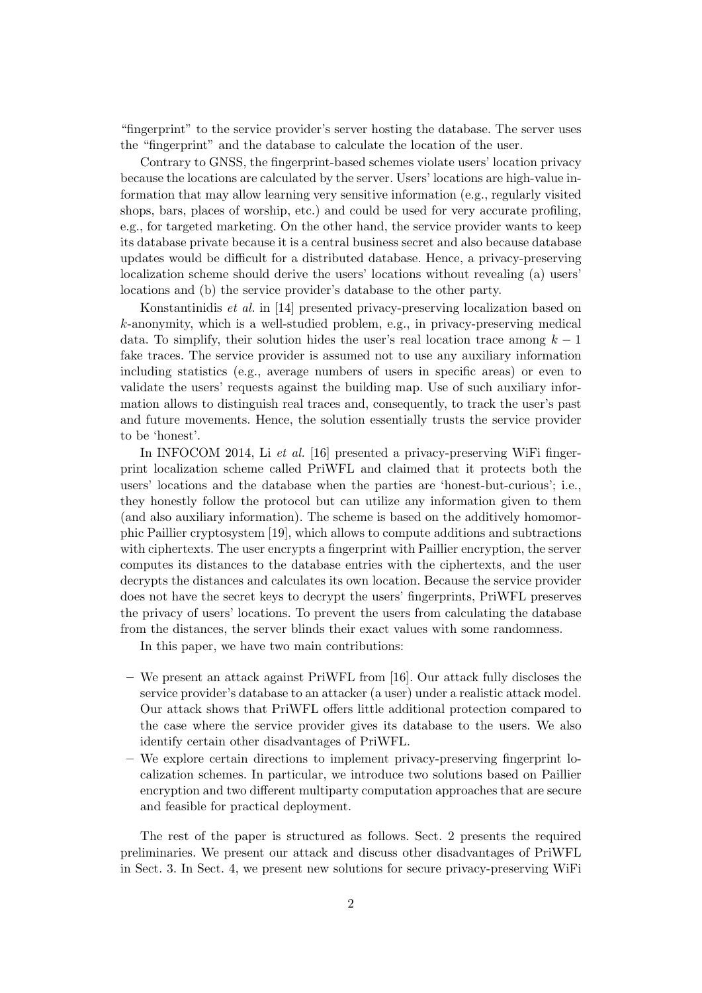"fingerprint" to the service provider's server hosting the database. The server uses the "fingerprint" and the database to calculate the location of the user.

Contrary to GNSS, the fingerprint-based schemes violate users' location privacy because the locations are calculated by the server. Users' locations are high-value information that may allow learning very sensitive information (e.g., regularly visited shops, bars, places of worship, etc.) and could be used for very accurate profiling, e.g., for targeted marketing. On the other hand, the service provider wants to keep its database private because it is a central business secret and also because database updates would be difficult for a distributed database. Hence, a privacy-preserving localization scheme should derive the users' locations without revealing (a) users' locations and (b) the service provider's database to the other party.

Konstantinidis et al. in [14] presented privacy-preserving localization based on k-anonymity, which is a well-studied problem, e.g., in privacy-preserving medical data. To simplify, their solution hides the user's real location trace among  $k - 1$ fake traces. The service provider is assumed not to use any auxiliary information including statistics (e.g., average numbers of users in specific areas) or even to validate the users' requests against the building map. Use of such auxiliary information allows to distinguish real traces and, consequently, to track the user's past and future movements. Hence, the solution essentially trusts the service provider to be 'honest'.

In INFOCOM 2014, Li et al. [16] presented a privacy-preserving WiFi fingerprint localization scheme called PriWFL and claimed that it protects both the users' locations and the database when the parties are 'honest-but-curious'; i.e., they honestly follow the protocol but can utilize any information given to them (and also auxiliary information). The scheme is based on the additively homomorphic Paillier cryptosystem [19], which allows to compute additions and subtractions with ciphertexts. The user encrypts a fingerprint with Paillier encryption, the server computes its distances to the database entries with the ciphertexts, and the user decrypts the distances and calculates its own location. Because the service provider does not have the secret keys to decrypt the users' fingerprints, PriWFL preserves the privacy of users' locations. To prevent the users from calculating the database from the distances, the server blinds their exact values with some randomness.

In this paper, we have two main contributions:

- We present an attack against PriWFL from [16]. Our attack fully discloses the service provider's database to an attacker (a user) under a realistic attack model. Our attack shows that PriWFL offers little additional protection compared to the case where the service provider gives its database to the users. We also identify certain other disadvantages of PriWFL.
- We explore certain directions to implement privacy-preserving fingerprint localization schemes. In particular, we introduce two solutions based on Paillier encryption and two different multiparty computation approaches that are secure and feasible for practical deployment.

The rest of the paper is structured as follows. Sect. 2 presents the required preliminaries. We present our attack and discuss other disadvantages of PriWFL in Sect. 3. In Sect. 4, we present new solutions for secure privacy-preserving WiFi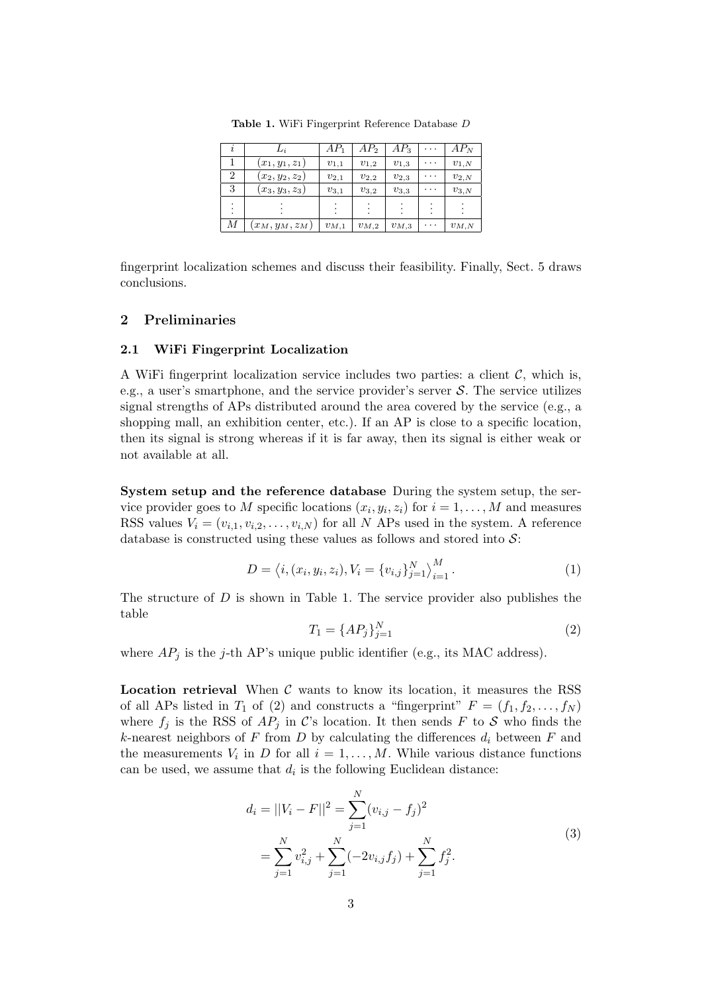| $\imath$       | $L_i$             | APı       | AP <sub>2</sub> | $AP_3$    |   | $AP_{N}$  |
|----------------|-------------------|-----------|-----------------|-----------|---|-----------|
|                | $(x_1, y_1, z_1)$ | $v_{1,1}$ | $v_{1,2}$       | $v_{1,3}$ |   | $v_{1,N}$ |
| $\overline{2}$ | $(x_2, y_2, z_2)$ | $v_{2,1}$ | $v_{2,2}$       | $v_{2,3}$ |   | $v_{2,N}$ |
| 3              | $(x_3, y_3, z_3)$ | $v_{3,1}$ | $v_{3,2}$       | $v_{3,3}$ |   | $v_{3,N}$ |
|                |                   |           |                 |           | ٠ |           |
| М              | $(x_M, y_M, z_M)$ | $v_{M,1}$ | $v_{M,2}$       | $v_{M,3}$ |   | $v_{M,N}$ |

Table 1. WiFi Fingerprint Reference Database D

fingerprint localization schemes and discuss their feasibility. Finally, Sect. 5 draws conclusions.

## 2 Preliminaries

## 2.1 WiFi Fingerprint Localization

A WiFi fingerprint localization service includes two parties: a client  $\mathcal{C}$ , which is, e.g., a user's smartphone, and the service provider's server  $S$ . The service utilizes signal strengths of APs distributed around the area covered by the service (e.g., a shopping mall, an exhibition center, etc.). If an AP is close to a specific location, then its signal is strong whereas if it is far away, then its signal is either weak or not available at all.

System setup and the reference database During the system setup, the service provider goes to M specific locations  $(x_i, y_i, z_i)$  for  $i = 1, ..., M$  and measures RSS values  $V_i = (v_{i,1}, v_{i,2}, \ldots, v_{i,N})$  for all N APs used in the system. A reference database is constructed using these values as follows and stored into  $\mathcal{S}$ :

$$
D = \langle i, (x_i, y_i, z_i), V_i = \{v_{i,j}\}_{j=1}^N \rangle_{i=1}^M.
$$
\n(1)

The structure of D is shown in Table 1. The service provider also publishes the table

$$
T_1 = \{AP_j\}_{j=1}^N
$$
\n(2)

where  $AP_i$  is the j-th AP's unique public identifier (e.g., its MAC address).

**Location retrieval** When  $\mathcal C$  wants to know its location, it measures the RSS of all APs listed in  $T_1$  of (2) and constructs a "fingerprint"  $F = (f_1, f_2, \ldots, f_N)$ where  $f_j$  is the RSS of  $AP_j$  in C's location. It then sends F to S who finds the k-nearest neighbors of F from D by calculating the differences  $d_i$  between F and the measurements  $V_i$  in D for all  $i = 1, \ldots, M$ . While various distance functions can be used, we assume that  $d_i$  is the following Euclidean distance:

$$
d_i = ||V_i - F||^2 = \sum_{j=1}^{N} (v_{i,j} - f_j)^2
$$
  
= 
$$
\sum_{j=1}^{N} v_{i,j}^2 + \sum_{j=1}^{N} (-2v_{i,j}f_j) + \sum_{j=1}^{N} f_j^2.
$$
 (3)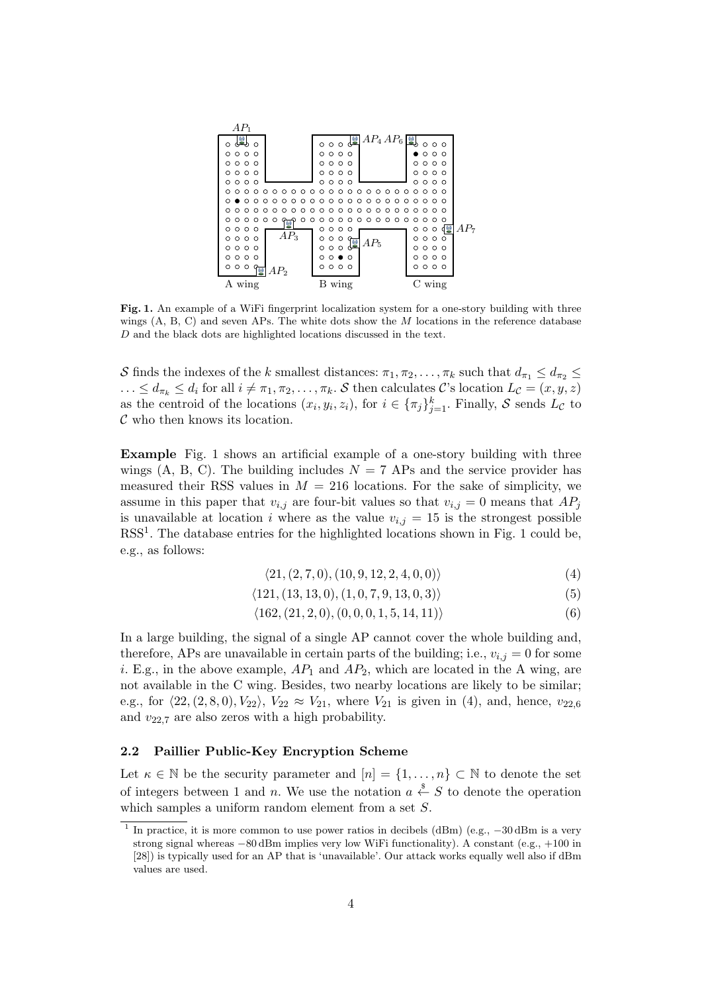

Fig. 1. An example of a WiFi fingerprint localization system for a one-story building with three wings (A, B, C) and seven APs. The white dots show the M locations in the reference database D and the black dots are highlighted locations discussed in the text.

S finds the indexes of the k smallest distances:  $\pi_1, \pi_2, \ldots, \pi_k$  such that  $d_{\pi_1} \leq d_{\pi_2} \leq$  $\ldots \le d_{\pi_k} \le d_i$  for all  $i \neq \pi_1, \pi_2, \ldots, \pi_k$ . S then calculates C's location  $L_{\mathcal{C}} = (x, y, z)$ as the centroid of the locations  $(x_i, y_i, z_i)$ , for  $i \in {\{\pi_j\}}_{j=1}^k$ . Finally, S sends  $L_c$  to  $\mathcal C$  who then knows its location.

Example Fig. 1 shows an artificial example of a one-story building with three wings (A, B, C). The building includes  $N = 7$  APs and the service provider has measured their RSS values in  $M = 216$  locations. For the sake of simplicity, we assume in this paper that  $v_{i,j}$  are four-bit values so that  $v_{i,j} = 0$  means that  $AP_j$ is unavailable at location i where as the value  $v_{i,j} = 15$  is the strongest possible RSS<sup>1</sup>. The database entries for the highlighted locations shown in Fig. 1 could be, e.g., as follows:

$$
\langle 21, (2, 7, 0), (10, 9, 12, 2, 4, 0, 0) \rangle \tag{4}
$$

$$
\langle 121, (13, 13, 0), (1, 0, 7, 9, 13, 0, 3) \rangle \tag{5}
$$

$$
\langle 162, (21, 2, 0), (0, 0, 0, 1, 5, 14, 11) \rangle \tag{6}
$$

In a large building, the signal of a single AP cannot cover the whole building and, therefore, APs are unavailable in certain parts of the building; i.e.,  $v_{i,j} = 0$  for some i. E.g., in the above example,  $AP_1$  and  $AP_2$ , which are located in the A wing, are not available in the C wing. Besides, two nearby locations are likely to be similar; e.g., for  $\langle 22, (2, 8, 0), V_{22} \rangle$ ,  $V_{22} \approx V_{21}$ , where  $V_{21}$  is given in (4), and, hence,  $v_{22,6}$ and  $v_{22.7}$  are also zeros with a high probability.

## 2.2 Paillier Public-Key Encryption Scheme

Let  $\kappa \in \mathbb{N}$  be the security parameter and  $[n] = \{1, \ldots, n\} \subset \mathbb{N}$  to denote the set of integers between 1 and *n*. We use the notation  $a \stackrel{\$}{\leftarrow} S$  to denote the operation which samples a uniform random element from a set S.

<sup>&</sup>lt;sup>1</sup> In practice, it is more common to use power ratios in decibels (dBm) (e.g.,  $-30$  dBm is a very strong signal whereas −80 dBm implies very low WiFi functionality). A constant (e.g., +100 in [28]) is typically used for an AP that is 'unavailable'. Our attack works equally well also if dBm values are used.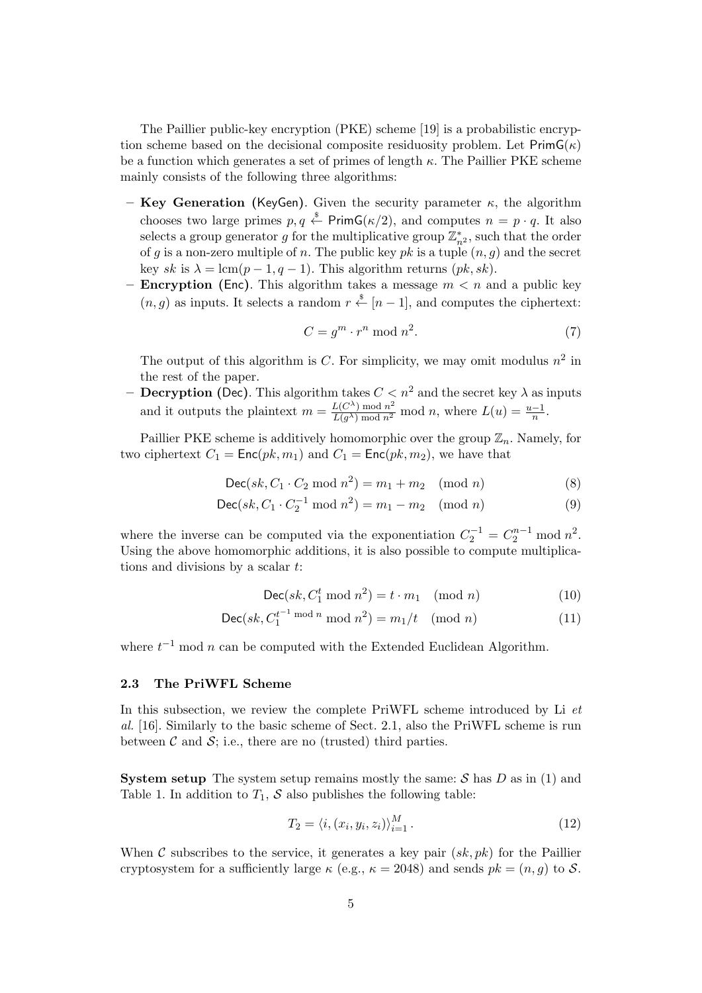The Paillier public-key encryption (PKE) scheme [19] is a probabilistic encryption scheme based on the decisional composite residuosity problem. Let  $\mathsf{PrimG}(\kappa)$ be a function which generates a set of primes of length  $\kappa$ . The Paillier PKE scheme mainly consists of the following three algorithms:

- Key Generation (KeyGen). Given the security parameter  $\kappa$ , the algorithm chooses two large primes  $p, q \stackrel{\$}{\leftarrow}$  Prim $G(\kappa/2)$ , and computes  $n = p \cdot q$ . It also selects a group generator g for the multiplicative group  $\mathbb{Z}_{n^2}^*$ , such that the order of g is a non-zero multiple of n. The public key pk is a tuple  $(n, g)$  and the secret key sk is  $\lambda = \text{lcm}(p-1, q-1)$ . This algorithm returns  $(pk, sk)$ .
- **Encryption** (Enc). This algorithm takes a message  $m < n$  and a public key  $(n, g)$  as inputs. It selects a random  $r \stackrel{\$}{\leftarrow} [n-1]$ , and computes the ciphertext:

$$
C = g^m \cdot r^n \bmod n^2. \tag{7}
$$

The output of this algorithm is C. For simplicity, we may omit modulus  $n^2$  in the rest of the paper.

– Decryption (Dec). This algorithm takes  $C < n^2$  and the secret key  $\lambda$  as inputs and it outputs the plaintext  $m = \frac{L(C^{\lambda}) \mod n^2}{L(a^{\lambda}) \mod n^2}$  $L(C^{\wedge}) \mod n^2 \text{ mod } n$ , where  $L(u) = \frac{u-1}{n}$ .

Paillier PKE scheme is additively homomorphic over the group  $\mathbb{Z}_n$ . Namely, for two ciphertext  $C_1 = \text{Enc}(pk, m_1)$  and  $C_1 = \text{Enc}(pk, m_2)$ , we have that

$$
\mathsf{Dec}(sk, C_1 \cdot C_2 \bmod n^2) = m_1 + m_2 \pmod{n}
$$
 (8)

$$
Dec(sk, C_1 \cdot C_2^{-1} \bmod n^2) = m_1 - m_2 \pmod{n}
$$
 (9)

where the inverse can be computed via the exponentiation  $C_2^{-1} = C_2^{n-1} \mod n^2$ . Using the above homomorphic additions, it is also possible to compute multiplications and divisions by a scalar  $t$ :

$$
\mathsf{Dec}(sk, C_1^t \bmod n^2) = t \cdot m_1 \pmod{n} \tag{10}
$$

$$
Dec(sk, C_1^{t^{-1} \bmod n} \bmod n^2) = m_1/t \pmod{n}
$$
 (11)

where  $t^{-1}$  mod n can be computed with the Extended Euclidean Algorithm.

## 2.3 The PriWFL Scheme

In this subsection, we review the complete PriWFL scheme introduced by Li  $et$ al. [16]. Similarly to the basic scheme of Sect. 2.1, also the PriWFL scheme is run between  $\mathcal C$  and  $\mathcal S$ ; i.e., there are no (trusted) third parties.

**System setup** The system setup remains mostly the same:  $S$  has  $D$  as in (1) and Table 1. In addition to  $T_1$ , S also publishes the following table:

$$
T_2 = \langle i, (x_i, y_i, z_i) \rangle_{i=1}^M. \tag{12}
$$

When C subscribes to the service, it generates a key pair  $(s_k, pk)$  for the Paillier cryptosystem for a sufficiently large  $\kappa$  (e.g.,  $\kappa = 2048$ ) and sends  $pk = (n, g)$  to S.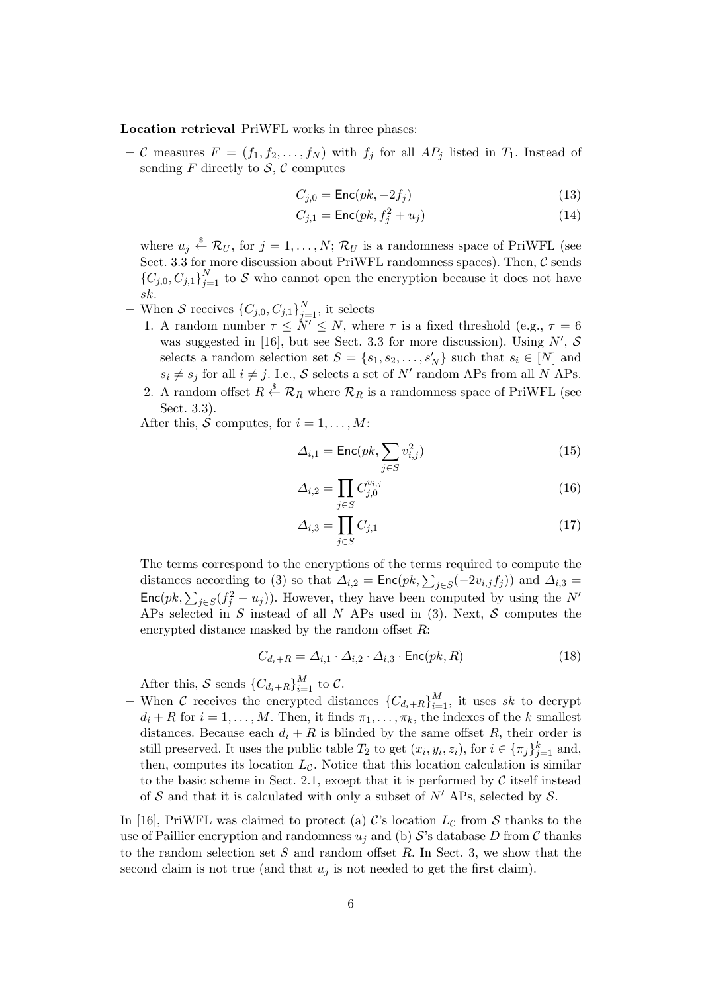Location retrieval PriWFL works in three phases:

– C measures  $F = (f_1, f_2, \ldots, f_N)$  with  $f_j$  for all  $AP_j$  listed in  $T_1$ . Instead of sending  $F$  directly to  $S$ ,  $C$  computes

$$
C_{j,0} = \text{Enc}(pk, -2f_j) \tag{13}
$$

$$
C_{j,1} = \text{Enc}(pk, f_j^2 + u_j)
$$
\n
$$
(14)
$$

where  $u_j \stackrel{\$}{\leftarrow} \mathcal{R}_U$ , for  $j = 1, \ldots, N$ ;  $\mathcal{R}_U$  is a randomness space of PriWFL (see Sect. 3.3 for more discussion about PriWFL randomness spaces). Then,  $\mathcal C$  sends  ${C_{j,0}, C_{j,1}}_{j=1}^N$  to S who cannot open the encryption because it does not have sk.

- When S receives  $\{C_{j,0}, C_{j,1}\}_{j=1}^N$ , it selects
	- 1. A random number  $\tau \leq N' \leq N$ , where  $\tau$  is a fixed threshold (e.g.,  $\tau = 6$ ) was suggested in [16], but see Sect. 3.3 for more discussion). Using  $N'$ , S selects a random selection set  $S = \{s_1, s_2, \ldots, s'_N\}$  such that  $s_i \in [N]$  and  $s_i \neq s_j$  for all  $i \neq j$ . I.e., S selects a set of N' random APs from all N APs.
	- 2. A random offset  $R \stackrel{\$}{\leftarrow} \mathcal{R}_R$  where  $\mathcal{R}_R$  is a randomness space of PriWFL (see Sect. 3.3).

After this, S computes, for  $i = 1, \ldots, M$ :

$$
\Delta_{i,1} = \text{Enc}(pk, \sum_{j \in S} v_{i,j}^2)
$$
\n(15)

$$
\Delta_{i,2} = \prod_{j \in S} C_{j,0}^{v_{i,j}} \tag{16}
$$

$$
\Delta_{i,3} = \prod_{j \in S} C_{j,1} \tag{17}
$$

The terms correspond to the encryptions of the terms required to compute the distances according to (3) so that  $\Delta_{i,2} = \text{Enc}(pk, \sum_{j \in S}(-2v_{i,j}f_j))$  and  $\Delta_{i,3} =$  $Enc(pk, \sum_{j \in S} (f_j^2 + u_j))$ . However, they have been computed by using the N' APs selected in  $S$  instead of all  $N$  APs used in (3). Next,  $S$  computes the encrypted distance masked by the random offset  $R$ :

$$
C_{d_i+R} = \Delta_{i,1} \cdot \Delta_{i,2} \cdot \Delta_{i,3} \cdot \text{Enc}(pk, R) \tag{18}
$$

After this, S sends  ${C_{d_i+R}}_{i=1}^M$  to C.

- When C receives the encrypted distances  ${C_{d_i+R}}_{i=1}^M$ , it uses sk to decrypt  $d_i + R$  for  $i = 1, ..., M$ . Then, it finds  $\pi_1, ..., \pi_k$ , the indexes of the k smallest distances. Because each  $d_i + R$  is blinded by the same offset R, their order is still preserved. It uses the public table  $T_2$  to get  $(x_i, y_i, z_i)$ , for  $i \in {\pi_j}_{j=1}^k$  and, then, computes its location  $L_{\mathcal{C}}$ . Notice that this location calculation is similar to the basic scheme in Sect. 2.1, except that it is performed by  $\mathcal C$  itself instead of S and that it is calculated with only a subset of  $N'$  APs, selected by S.

In [16], PriWFL was claimed to protect (a)  $\mathcal{C}$ 's location  $L_{\mathcal{C}}$  from  $\mathcal S$  thanks to the use of Paillier encryption and randomness  $u_i$  and (b) S's database D from C thanks to the random selection set S and random offset R. In Sect. 3, we show that the second claim is not true (and that  $u_j$  is not needed to get the first claim).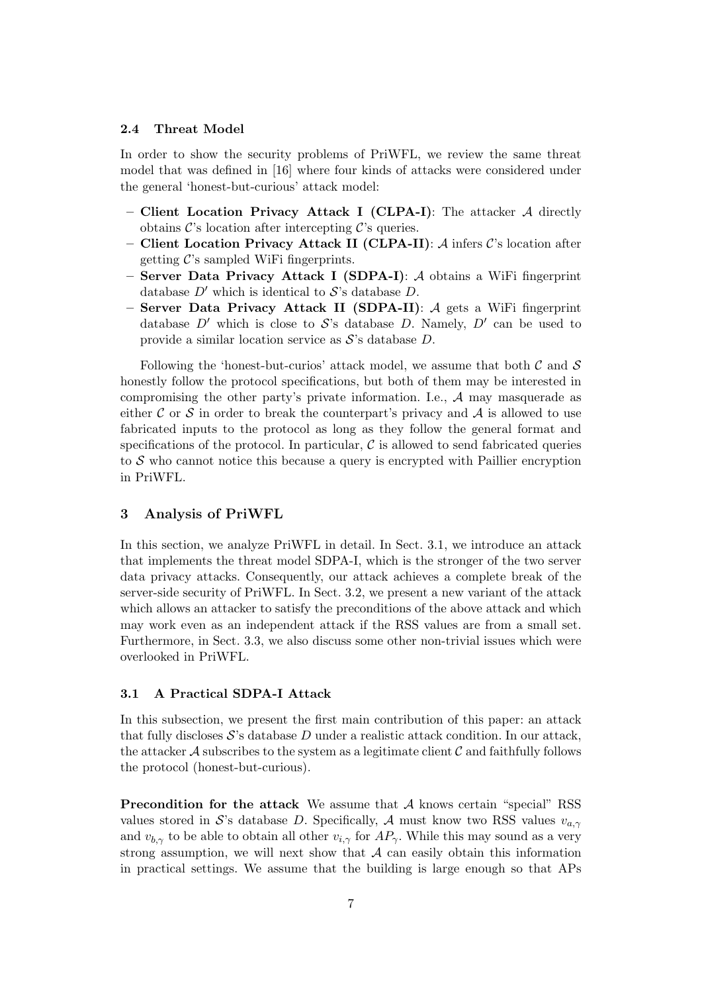## 2.4 Threat Model

In order to show the security problems of PriWFL, we review the same threat model that was defined in [16] where four kinds of attacks were considered under the general 'honest-but-curious' attack model:

- Client Location Privacy Attack I (CLPA-I): The attacker  $A$  directly obtains  $\mathcal{C}$ 's location after intercepting  $\mathcal{C}$ 's queries.
- Client Location Privacy Attack II (CLPA-II):  $\mathcal A$  infers  $\mathcal C$ 's location after getting  $\mathcal{C}$ 's sampled WiFi fingerprints.
- Server Data Privacy Attack I (SDPA-I): A obtains a WiFi fingerprint database  $D'$  which is identical to  $S'$ s database D.
- Server Data Privacy Attack II (SDPA-II):  $A$  gets a WiFi fingerprint database  $D'$  which is close to S's database D. Namely,  $D'$  can be used to provide a similar location service as  $S$ 's database  $D$ .

Following the 'honest-but-curios' attack model, we assume that both  $\mathcal C$  and  $\mathcal S$ honestly follow the protocol specifications, but both of them may be interested in compromising the other party's private information. I.e., A may masquerade as either C or S in order to break the counterpart's privacy and  $A$  is allowed to use fabricated inputs to the protocol as long as they follow the general format and specifications of the protocol. In particular,  $\mathcal C$  is allowed to send fabricated queries to  $S$  who cannot notice this because a query is encrypted with Paillier encryption in PriWFL.

## 3 Analysis of PriWFL

In this section, we analyze PriWFL in detail. In Sect. 3.1, we introduce an attack that implements the threat model SDPA-I, which is the stronger of the two server data privacy attacks. Consequently, our attack achieves a complete break of the server-side security of PriWFL. In Sect. 3.2, we present a new variant of the attack which allows an attacker to satisfy the preconditions of the above attack and which may work even as an independent attack if the RSS values are from a small set. Furthermore, in Sect. 3.3, we also discuss some other non-trivial issues which were overlooked in PriWFL.

## 3.1 A Practical SDPA-I Attack

In this subsection, we present the first main contribution of this paper: an attack that fully discloses  $\mathcal{S}'$ 's database D under a realistic attack condition. In our attack, the attacker A subscribes to the system as a legitimate client  $\mathcal C$  and faithfully follows the protocol (honest-but-curious).

Precondition for the attack We assume that A knows certain "special" RSS values stored in S's database D. Specifically, A must know two RSS values  $v_{a,\gamma}$ and  $v_{b,\gamma}$  to be able to obtain all other  $v_{i,\gamma}$  for  $AP_{\gamma}$ . While this may sound as a very strong assumption, we will next show that  $A$  can easily obtain this information in practical settings. We assume that the building is large enough so that APs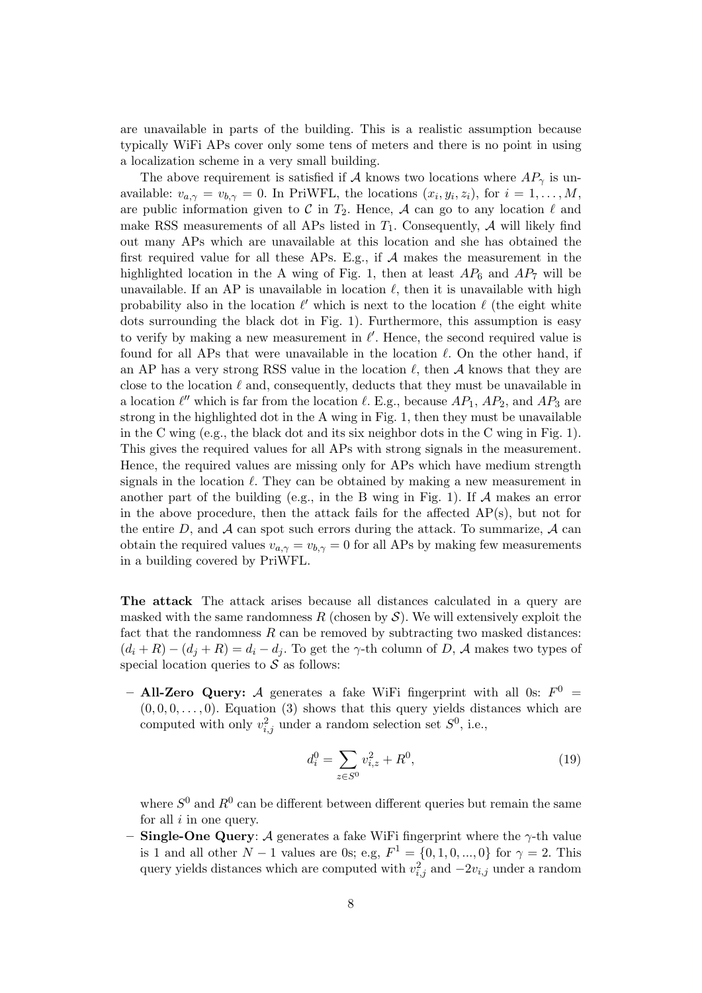are unavailable in parts of the building. This is a realistic assumption because typically WiFi APs cover only some tens of meters and there is no point in using a localization scheme in a very small building.

The above requirement is satisfied if A knows two locations where  $AP_{\gamma}$  is unavailable:  $v_{a,\gamma} = v_{b,\gamma} = 0$ . In PriWFL, the locations  $(x_i, y_i, z_i)$ , for  $i = 1, \ldots, M$ , are public information given to C in  $T_2$ . Hence, A can go to any location  $\ell$  and make RSS measurements of all APs listed in  $T_1$ . Consequently, A will likely find out many APs which are unavailable at this location and she has obtained the first required value for all these APs. E.g., if  $A$  makes the measurement in the highlighted location in the A wing of Fig. 1, then at least  $AP_6$  and  $AP_7$  will be unavailable. If an AP is unavailable in location  $\ell$ , then it is unavailable with high probability also in the location  $\ell'$  which is next to the location  $\ell$  (the eight white dots surrounding the black dot in Fig. 1). Furthermore, this assumption is easy to verify by making a new measurement in  $\ell'$ . Hence, the second required value is found for all APs that were unavailable in the location  $\ell$ . On the other hand, if an AP has a very strong RSS value in the location  $\ell$ , then A knows that they are close to the location  $\ell$  and, consequently, deducts that they must be unavailable in a location  $\ell''$  which is far from the location  $\ell$ . E.g., because  $AP_1$ ,  $AP_2$ , and  $AP_3$  are strong in the highlighted dot in the A wing in Fig. 1, then they must be unavailable in the C wing (e.g., the black dot and its six neighbor dots in the C wing in Fig. 1). This gives the required values for all APs with strong signals in the measurement. Hence, the required values are missing only for APs which have medium strength signals in the location  $\ell$ . They can be obtained by making a new measurement in another part of the building (e.g., in the B wing in Fig. 1). If  $A$  makes an error in the above procedure, then the attack fails for the affected  $AP(s)$ , but not for the entire  $D$ , and  $\mathcal A$  can spot such errors during the attack. To summarize,  $\mathcal A$  can obtain the required values  $v_{a,\gamma} = v_{b,\gamma} = 0$  for all APs by making few measurements in a building covered by PriWFL.

The attack The attack arises because all distances calculated in a query are masked with the same randomness  $R$  (chosen by  $S$ ). We will extensively exploit the fact that the randomness  $R$  can be removed by subtracting two masked distances:  $(d_i + R) - (d_j + R) = d_i - d_j$ . To get the  $\gamma$ -th column of D, A makes two types of special location queries to  $S$  as follows:

- All-Zero Query: A generates a fake WiFi fingerprint with all 0s:  $F^0$  =  $(0, 0, 0, \ldots, 0)$ . Equation (3) shows that this query yields distances which are computed with only  $v_{i,j}^2$  under a random selection set  $S^0$ , i.e.,

$$
d_i^0 = \sum_{z \in S^0} v_{i,z}^2 + R^0,\tag{19}
$$

where  $S^0$  and  $R^0$  can be different between different queries but remain the same for all  $i$  in one query.

– Single-One Query: A generates a fake WiFi fingerprint where the  $\gamma$ -th value is 1 and all other  $N-1$  values are 0s; e.g,  $F^1 = \{0, 1, 0, ..., 0\}$  for  $\gamma = 2$ . This query yields distances which are computed with  $v_{i,j}^2$  and  $-2v_{i,j}$  under a random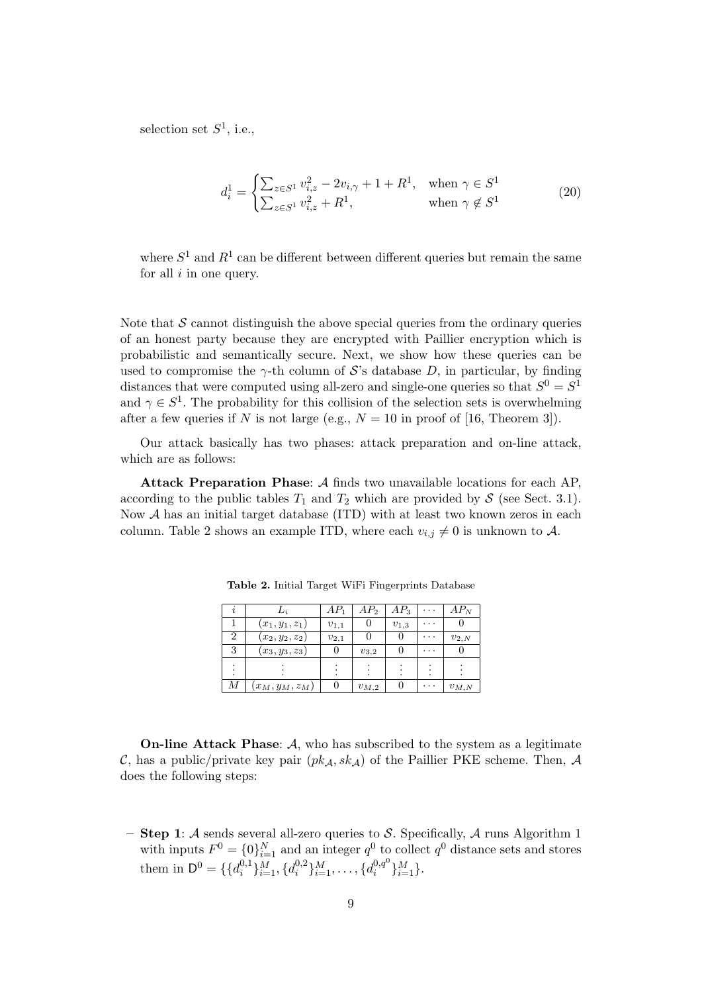selection set  $S^1$ , i.e.,

$$
d_i^1 = \begin{cases} \sum_{z \in S^1} v_{i,z}^2 - 2v_{i,\gamma} + 1 + R^1, & \text{when } \gamma \in S^1\\ \sum_{z \in S^1} v_{i,z}^2 + R^1, & \text{when } \gamma \notin S^1 \end{cases}
$$
 (20)

where  $S^1$  and  $R^1$  can be different between different queries but remain the same for all  $i$  in one query.

Note that  $S$  cannot distinguish the above special queries from the ordinary queries of an honest party because they are encrypted with Paillier encryption which is probabilistic and semantically secure. Next, we show how these queries can be used to compromise the  $\gamma$ -th column of S's database D, in particular, by finding distances that were computed using all-zero and single-one queries so that  $S^0 = S^1$ and  $\gamma \in S^1$ . The probability for this collision of the selection sets is overwhelming after a few queries if N is not large (e.g.,  $N = 10$  in proof of [16, Theorem 3]).

Our attack basically has two phases: attack preparation and on-line attack, which are as follows:

Attack Preparation Phase: A finds two unavailable locations for each AP, according to the public tables  $T_1$  and  $T_2$  which are provided by S (see Sect. 3.1). Now  $A$  has an initial target database (ITD) with at least two known zeros in each column. Table 2 shows an example ITD, where each  $v_{i,j} \neq 0$  is unknown to A.

|   | $L_i$             | AP <sub>1</sub> | AP <sub>2</sub> | AP <sub>3</sub> |          | $AP_N$    |
|---|-------------------|-----------------|-----------------|-----------------|----------|-----------|
|   | $(x_1, y_1, z_1)$ | $v_{1,1}$       |                 | $v_{1,3}$       |          |           |
| 2 | $(x_2, y_2, z_2)$ | $v_{2,1}$       |                 |                 |          | $v_{2,N}$ |
| 3 | $(x_3, y_3, z_3)$ |                 | $v_{3,2}$       |                 | .        |           |
|   |                   |                 |                 |                 | ٠        |           |
| М | $(x_M, y_M, z_M)$ |                 | $v_{M,2}$       |                 | $\cdots$ | $v_{M,N}$ |

Table 2. Initial Target WiFi Fingerprints Database

**On-line Attack Phase:**  $\mathcal{A}$ , who has subscribed to the system as a legitimate C, has a public/private key pair  $(pk_{A}, sk_{A})$  of the Paillier PKE scheme. Then, A does the following steps:

– Step 1: A sends several all-zero queries to S. Specifically, A runs Algorithm 1 with inputs  $F^0 = \{0\}_{i=1}^N$  and an integer  $q^0$  to collect  $q^0$  distance sets and stores them in  $D^0 = \{ \{ d_i^{0,1} \}$  $\{d_i^{0,1}\}_{i=1}^M$ ,  $\{d_i^{0,2}\}_{i=1}^M$  $\{a_i^{0,2}\}_{i=1}^M, \ldots, \{d_i^{0,q^0}\}$  $\{a^{0},q^{0}\}_{i=1}^{M}\}.$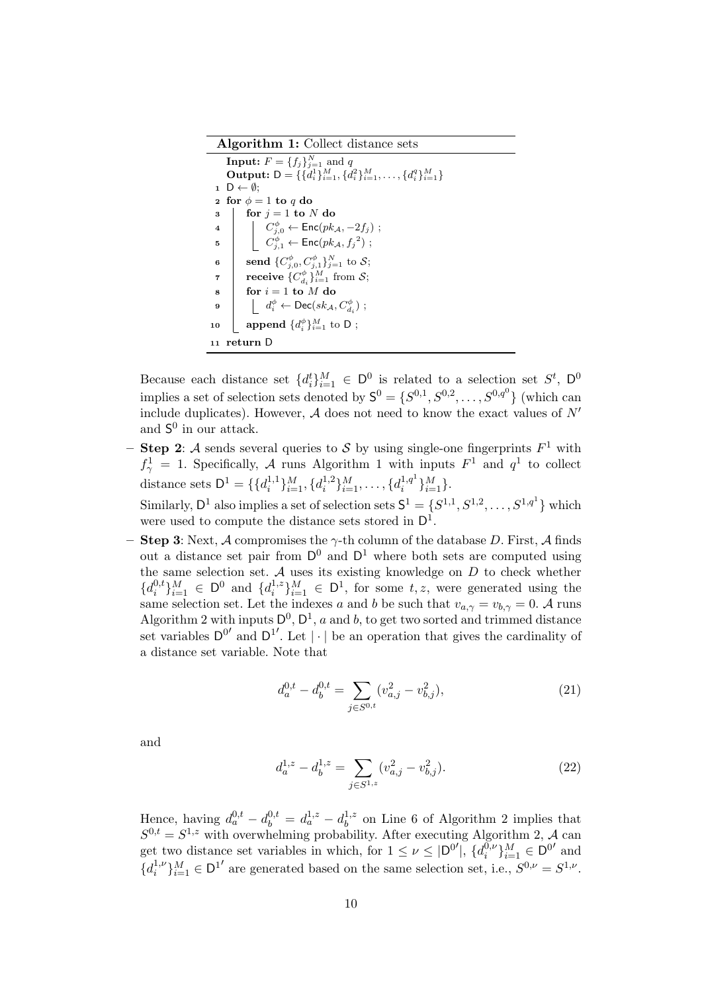Algorithm 1: Collect distance sets

```
Input: F = \{f_j\}_{j=1}^N and q
       Output: D = \{ \{d_i^1\}_{i=1}^M, \{d_i^2\}_{i=1}^M, \ldots, \{d_i^q\}_{i=1}^M \}1 \quad D \leftarrow \emptyset;2 for \phi = 1 to q do
  3 \int for j = 1 to N do
  \begin{array}{ccc} \texttt{4} & | & C^{\phi}_{j,0} \leftarrow \mathsf{Enc}(pk_{\mathcal{A}}, -2f_j) \; ; \end{array}\mathsf{5} \quad | \quad \mathsf{C}^\phi_{j,1} \leftarrow \mathsf{Enc}(pk_\mathcal{A}, f_j{}^2) \; ;\begin{array}{ll} \mathbf{6} & \text{send } \{C_{j,0}^\phi, C_{j,1}^\phi\}_{j=1}^N \text{ to } \mathcal{S}; \end{array}7 receive \{C_{d_i}^{\phi}\}_{i=1}^M from S;
  \mathbf{s} | for i = 1 to M do
  \begin{array}{ccc} \mathbf{9} & \Big| & d_i^\phi \leftarrow \mathsf{Dec}(sk_\mathcal{A}, C_{d_i}^\phi) \; ; \end{array}10 append \{d_i^{\phi}\}_{i=1}^M to D;
11 return D
```
Because each distance set  $\{d_i^t\}_{i=1}^M \in \mathsf{D}^0$  is related to a selection set  $S^t$ ,  $\mathsf{D}^0$ implies a set of selection sets denoted by  $S^0 = \{S^{0,1}, S^{0,2}, \ldots, S^{0,q^0}\}\$  (which can include duplicates). However,  $A$  does not need to know the exact values of  $N'$ and  $S^0$  in our attack.

- Step 2: A sends several queries to S by using single-one fingerprints  $F^1$  with  $f_{\gamma}^1 = 1$ . Specifically, A runs Algorithm 1 with inputs  $F^1$  and  $q^1$  to collect distance sets  $D^1 = \{ \{d_i^{1,1}\}$  $\{d_i^{1,1}\}_{i=1}^M$ ,  $\{d_i^{1,2}\}_{i=1}^M$  $\{d_i^{1,2}\}_{i=1}^M, \ldots, \{d_i^{1,q^1}\}$  $\{a^{1}, a^{1}\}_{i=1}^{M}$ .

Similarly,  $\mathsf{D}^1$  also implies a set of selection sets  $\mathsf{S}^1 = \{S^{1,1}, S^{1,2}, \ldots, S^{1,q^1}\}\$  which were used to compute the distance sets stored in  $D^1$ .

– Step 3: Next, A compromises the  $\gamma$ -th column of the database D. First, A finds out a distance set pair from  $\mathsf{D}^0$  and  $\mathsf{D}^1$  where both sets are computed using the same selection set.  $A$  uses its existing knowledge on  $D$  to check whether  $\{d_i^{0,t}$  $\{a_i^{(0)}\}_{i=1}^M \in \mathsf{D}^0$  and  $\{d_i^{(1)}\}$  $\{d_i^{1,z}\}_{i=1}^M \in \mathsf{D}^1$ , for some  $t, z$ , were generated using the same selection set. Let the indexes a and b be such that  $v_{a,\gamma} = v_{b,\gamma} = 0$ . A runs Algorithm 2 with inputs  $\mathsf{D}^0$ ,  $\mathsf{D}^1$ , a and b, to get two sorted and trimmed distance set variables  $D^{0'}$  and  $D^{1'}$ . Let  $|\cdot|$  be an operation that gives the cardinality of a distance set variable. Note that

$$
d_a^{0,t} - d_b^{0,t} = \sum_{j \in S^{0,t}} (v_{a,j}^2 - v_{b,j}^2),
$$
\n(21)

and

$$
d_a^{1,z} - d_b^{1,z} = \sum_{j \in S^{1,z}} (v_{a,j}^2 - v_{b,j}^2). \tag{22}
$$

Hence, having  $d_a^{0,t} - d_b^{0,t} = d_a^{1,z} - d_b^{1,z}$  $b<sup>1,2</sup>$  on Line 6 of Algorithm 2 implies that  $S^{0,t} = S^{1,z}$  with overwhelming probability. After executing Algorithm 2, A can get two distance set variables in which, for  $1 \leq \nu \leq |D^{0'}|$ ,  $\{d_i^{0,\nu}\}$  $\{a, \nu\}_{i=1}^{M} \in \mathsf{D}^{0'}$  and  ${d_i^{1,\nu}}$  $\{A_i^1,\nu\}_{i=1}^M \in \mathbb{D}^{1'}$  are generated based on the same selection set, i.e.,  $S^{0,\nu} = S^{1,\nu}$ .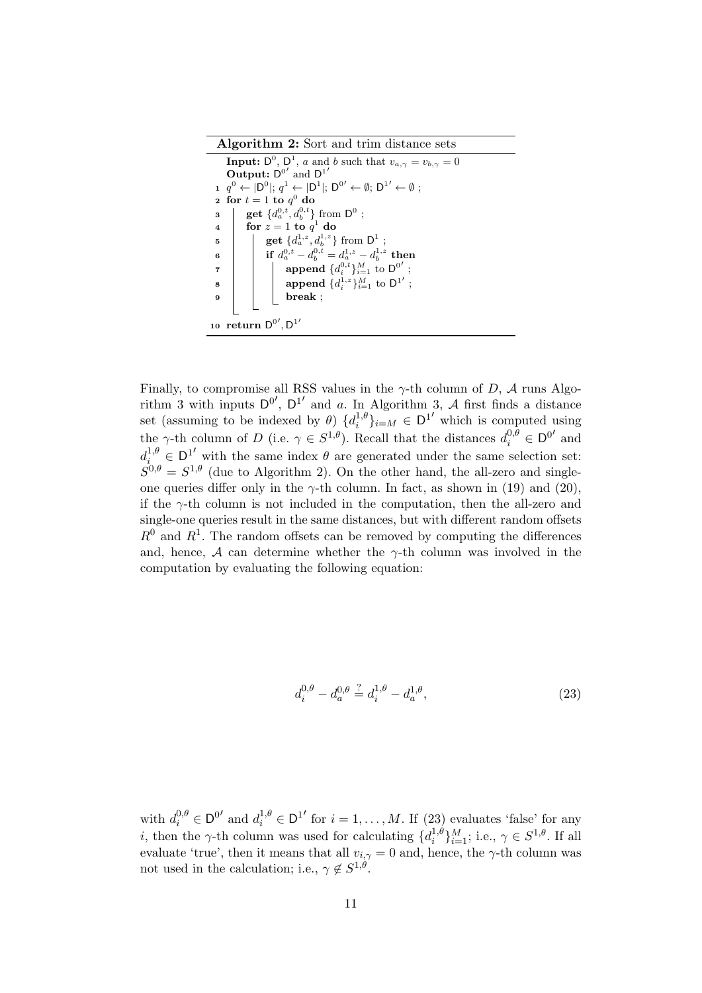Algorithm 2: Sort and trim distance sets

**Input:**  $D^0$ ,  $D^1$ , *a* and *b* such that  $v_{a,\gamma} = v_{b,\gamma} = 0$ Output:  $D^{0'}$  and  $D^{1'}$  $\mathbf{1} \quad q^0 \leftarrow |D^0|; q^1 \leftarrow |D^1|; D^{0'} \leftarrow \emptyset; D^{1'} \leftarrow \emptyset;$  $\mathbf{a} \quad \mathbf{for} \ t = 1 \ \mathbf{to} \ q^0 \ \mathbf{do}$ 3  $\left[ \text{get } \{d_a^{0,t}, d_b^{0,t} \} \text{ from } \mathsf{D}^0 \right];$  $4 \quad \vert \quad {\bf for} \,\, z=1 {\bf \,\, to} \,\, q^1 {\bf \,\, do}$ 5 **get**  $\{d_a^{1,z}, d_b^{1,z}\}$  from  $\mathsf{D}^1$  ; 6 if  $d_a^{0,t} - d_b^{0,t} = d_a^{1,z} - d_b^{1,z}$  then  $\begin{array}{|c|c|c|}\hline \text{ $\mathsf{p}$} & \text{ \end{array}} \hspace{-0.03in} \begin{array}{c} \hline \text{ \end{array} \hspace{-0.03in} \begin{array}{c} \hline \text{ \end{array}}{ \{d_i^{0,t}\}_{i=1}^M \text{ to } \mathsf{D}^{0'} \text{ ; }$  $\quad \ \ \, {\bf s} \quad \ \ \, \bigg| \quad \quad \bigg| \quad \quad \text{append } \{ d^{1,z}_i \}_{i=1}^M \text{ to } \mathsf{D}^{1'} \; ;$ break ; 10 return  $D^{0'}$ ,  $D^{1'}$ 

Finally, to compromise all RSS values in the  $\gamma$ -th column of D, A runs Algorithm 3 with inputs  $D^{0'}$ ,  $D^{1'}$  and a. In Algorithm 3, A first finds a distance set (assuming to be indexed by  $\theta$ )  $\{d_i^{1,\theta}$  $\{a_i^{1,\theta}\}_{i=M} \in \mathsf{D}^{1'}$  which is computed using the  $\gamma$ -th column of D (i.e.  $\gamma \in S^{1,\theta}$ ). Recall that the distances  $d_i^{0,\theta} \in D^{0'}$  and  $d_i^{1,\theta} \in D_1^{1'}$  with the same index  $\theta$  are generated under the same selection set:  $S^{0,\theta} = S^{1,\theta}$  (due to Algorithm 2). On the other hand, the all-zero and singleone queries differ only in the  $\gamma$ -th column. In fact, as shown in (19) and (20), if the  $\gamma$ -th column is not included in the computation, then the all-zero and single-one queries result in the same distances, but with different random offsets  $R^0$  and  $R^1$ . The random offsets can be removed by computing the differences and, hence, A can determine whether the  $\gamma$ -th column was involved in the computation by evaluating the following equation:

$$
d_i^{0,\theta} - d_a^{0,\theta} \stackrel{?}{=} d_i^{1,\theta} - d_a^{1,\theta},\tag{23}
$$

with  $d_i^{0,\theta} \in \mathsf{D}^{0'}$  and  $d_i^{1,\theta} \in \mathsf{D}^{1'}$  for  $i = 1, \ldots, M$ . If (23) evaluates 'false' for any i, then the  $\gamma$ -th column was used for calculating  $\{d_i^{1,\theta}$  $\{a_i^{(1,\theta)}\}_{i=1}^M$ ; i.e.,  $\gamma \in S^{1,\theta}$ . If all evaluate 'true', then it means that all  $v_{i,\gamma} = 0$  and, hence, the  $\gamma$ -th column was not used in the calculation; i.e.,  $\gamma \notin S^{1,\theta}$ .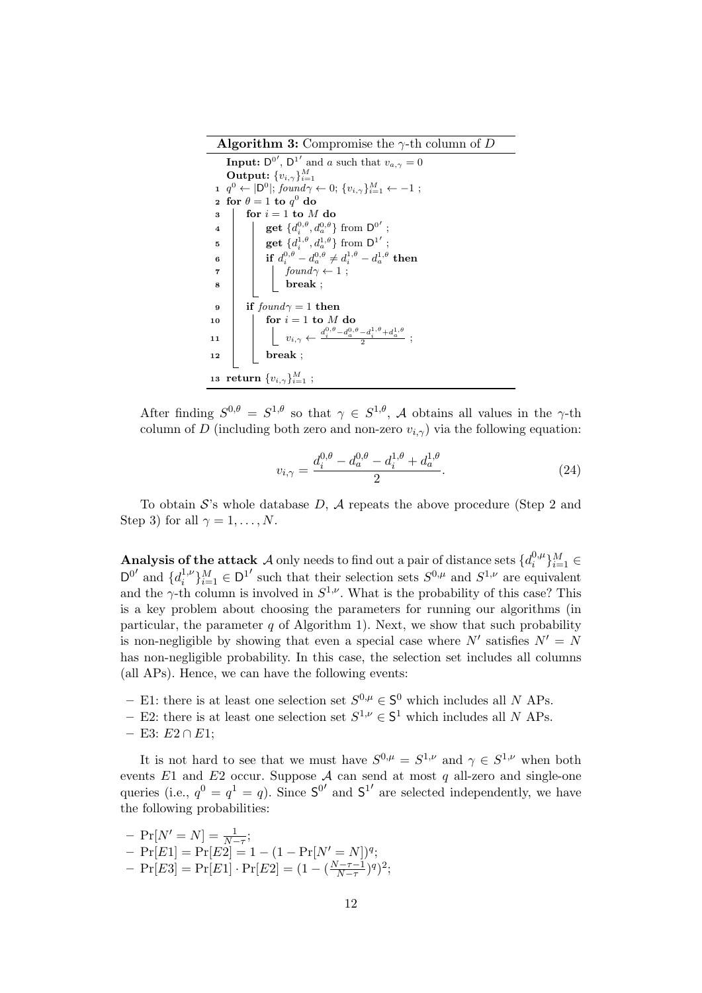Algorithm 3: Compromise the  $\gamma$ -th column of D

```
Input: D^{0'}, D^{1'} and a such that v_{a,\gamma} = 0Output: \{v_{i,\gamma}\}_{i=1}^M1 \ q^0 \leftarrow |D^0|; \text{found} \gamma \leftarrow 0; \{v_{i,\gamma}\}_{i=1}^M \leftarrow -1;2 for \theta = 1 to q^0 do
 3 \mid for i = 1 to M do
  4 \Big| get \{d_i^{0,\theta}, d_a^{0,\theta}\}\; {\rm from}\; \mathsf{D}^{0'}\;;\frac{1}{5} get {d_i^{1,\theta}, d_a^{1,\theta}} from D^1';
  \mathbf{6} \quad | \quad \quad | \quad \mathbf{if} \; d_i^{0, \theta} - d_a^{0, \theta} \neq d_i^{1, \theta} - d_a^{1, \theta} \; \mathbf{then}\tau | | found \gamma \leftarrow 1;
 \begin{array}{c|c|c|c|c} \hline \mathbf{s} & \mathbf{b} & \mathbf{b} & \mathbf{b} & \mathbf{b} & \mathbf{c} \ \hline \end{array}9 if found \gamma = 1 then
10 \vert for i = 1 to M do
11 \bigcup_{i,\gamma} \leftarrow \frac{d_i^{0,\theta} - d_a^{0,\theta} - d_i^{1,\theta} + d_a^{1,\theta}}{2};
12 break
13 \mathbf{return}~\{v_{i, \gamma}\}_{i=1}^M ;
```
After finding  $S^{0,\theta} = S^{1,\theta}$  so that  $\gamma \in S^{1,\theta}$ , A obtains all values in the  $\gamma$ -th column of D (including both zero and non-zero  $v_{i,\gamma}$ ) via the following equation:

$$
v_{i,\gamma} = \frac{d_i^{0,\theta} - d_a^{0,\theta} - d_i^{1,\theta} + d_a^{1,\theta}}{2}.
$$
\n(24)

To obtain  $\mathcal{S}'$ 's whole database  $D$ ,  $\mathcal{A}$  repeats the above procedure (Step 2 and Step 3) for all  $\gamma = 1, \ldots, N$ .

**Analysis of the attack** A only needs to find out a pair of distance sets  $\{d_i^{0,\mu}\}$  $\{a^{(0,\mu)}_{i}\}_{i=1}^M \in$  $\mathsf{D}^{0'}$  and  $\{d_i^{1,\nu}\}$  $\{A_i^{1,\nu}\}_{i=1}^M \in \mathbb{D}^1'$  such that their selection sets  $S^{0,\mu}$  and  $S^{1,\nu}$  are equivalent and the  $\gamma$ -th column is involved in  $S^{1,\nu}$ . What is the probability of this case? This is a key problem about choosing the parameters for running our algorithms (in particular, the parameter  $q$  of Algorithm 1). Next, we show that such probability is non-negligible by showing that even a special case where  $N'$  satisfies  $N' = N$ has non-negligible probability. In this case, the selection set includes all columns (all APs). Hence, we can have the following events:

- E1: there is at least one selection set  $S^{0,\mu} \in \mathbb{S}^0$  which includes all N APs.
- E2: there is at least one selection set  $S^{1,\nu} \in \mathsf{S}^1$  which includes all N APs.
- $–$  E3:  $E2 ∩ E1$ ;

It is not hard to see that we must have  $S^{0,\mu} = S^{1,\nu}$  and  $\gamma \in S^{1,\nu}$  when both events  $E1$  and  $E2$  occur. Suppose  $A$  can send at most  $q$  all-zero and single-one queries (i.e.,  $q^0 = q^1 = q$ ). Since  $S^{0'}$  and  $S^{1'}$  are selected independently, we have the following probabilities:

 $- \Pr[N' = N] = \frac{1}{N - \tau};$  $- \Pr[E1] = \Pr[E2] = 1 - (1 - \Pr[N' = N])^{q};$  $- \Pr[E3] = \Pr[E1] \cdot \Pr[E2] = (1 - (\frac{N - \tau - 1}{N - \tau})$  $\frac{N-\tau-1}{N-\tau}$  $)^{q}$  $)^{2}$ ;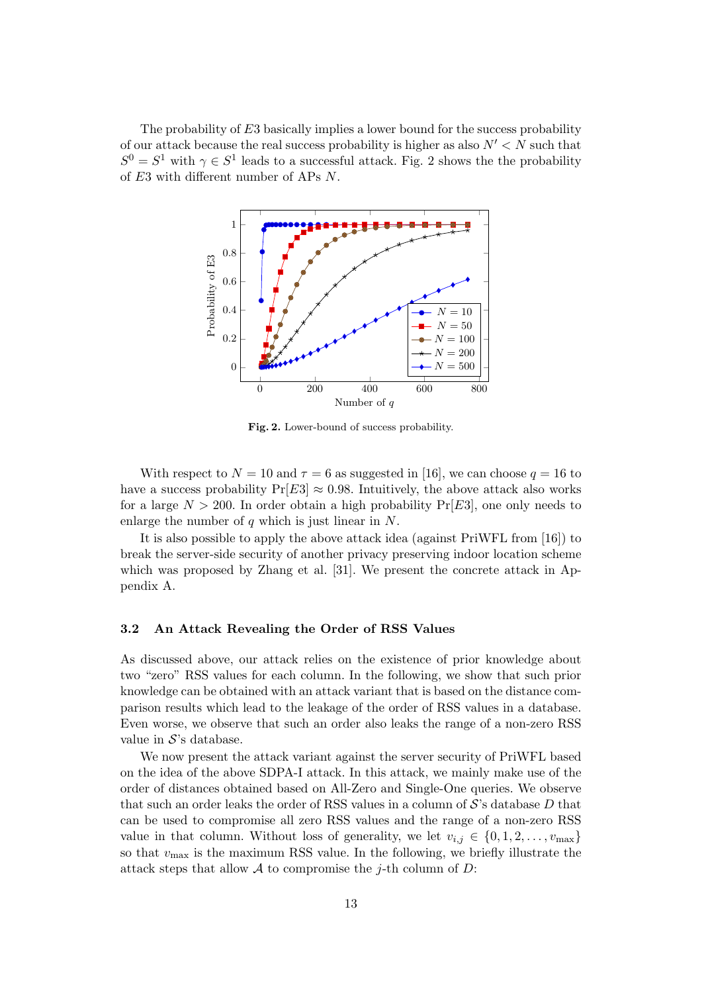The probability of E3 basically implies a lower bound for the success probability of our attack because the real success probability is higher as also  $N' < N$  such that  $S^0 = S^1$  with  $\gamma \in S^1$  leads to a successful attack. Fig. 2 shows the the probability of E3 with different number of APs N.



Fig. 2. Lower-bound of success probability.

With respect to  $N = 10$  and  $\tau = 6$  as suggested in [16], we can choose  $q = 16$  to have a success probability  $Pr[E3] \approx 0.98$ . Intuitively, the above attack also works for a large  $N > 200$ . In order obtain a high probability  $Pr[E3]$ , one only needs to enlarge the number of  $q$  which is just linear in  $N$ .

It is also possible to apply the above attack idea (against PriWFL from [16]) to break the server-side security of another privacy preserving indoor location scheme which was proposed by Zhang et al. [31]. We present the concrete attack in Appendix A.

## 3.2 An Attack Revealing the Order of RSS Values

As discussed above, our attack relies on the existence of prior knowledge about two "zero" RSS values for each column. In the following, we show that such prior knowledge can be obtained with an attack variant that is based on the distance comparison results which lead to the leakage of the order of RSS values in a database. Even worse, we observe that such an order also leaks the range of a non-zero RSS value in  $\mathcal{S}'$ s database.

We now present the attack variant against the server security of PriWFL based on the idea of the above SDPA-I attack. In this attack, we mainly make use of the order of distances obtained based on All-Zero and Single-One queries. We observe that such an order leaks the order of RSS values in a column of  $\mathcal{S}'$ 's database D that can be used to compromise all zero RSS values and the range of a non-zero RSS value in that column. Without loss of generality, we let  $v_{i,j} \in \{0, 1, 2, \ldots, v_{\text{max}}\}\$ so that  $v_{\text{max}}$  is the maximum RSS value. In the following, we briefly illustrate the attack steps that allow  $\mathcal A$  to compromise the *j*-th column of  $D$ :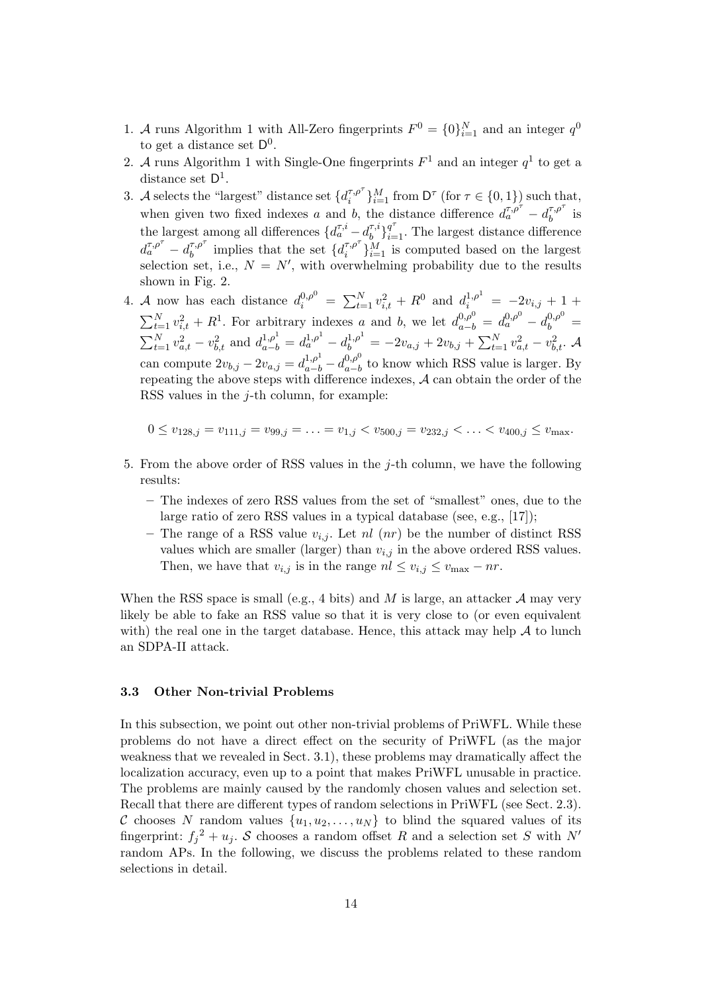- 1. A runs Algorithm 1 with All-Zero fingerprints  $F^0 = \{0\}_{i=1}^N$  and an integer  $q^0$ to get a distance set  $D^0$ .
- 2. A runs Algorithm 1 with Single-One fingerprints  $F<sup>1</sup>$  and an integer  $q<sup>1</sup>$  to get a distance set  $D^1$ .
- 3. A selects the "largest" distance set  $\{d_i^{\tau,\rho^{\tau}}\}$  $\{U_i^{\tau,\rho'}\}_{i=1}^M$  from  $\mathsf{D}^{\tau}$  (for  $\tau \in \{0,1\}$ ) such that, when given two fixed indexes a and b, the distance difference  $d_a^{\tau,\rho^{\tau}} - d_b^{\tau,\rho^{\tau}}$  is b the largest among all differences  $\{d_a^{\tau,i} - d_b^{\tau,i}\}$  $\sum_{b}^{\tau,i}$ ,  $\sum_{i=1}^{q^{\tau}}$ . The largest distance difference  $d^{\tau,\rho^{\tau}}_a-d^{\tau,\rho^{\tau}}_b$  $\int_b^{\tau,\rho^{\tau}}$  implies that the set  $\{d_i^{\tau,\rho^{\tau}}\}$  $\{u_i^{\tau,\rho'}\}_{i=1}^M$  is computed based on the largest selection set, i.e.,  $N = N'$ , with overwhelming probability due to the results shown in Fig. 2.
- 4. A now has each distance  $d_i^{0,\rho^0} = \sum_{t=1}^N v_{i,t}^2 + R^0$  and  $d_i^{1,\rho^1} = -2v_{i,j} + 1 +$  $\sum_{t=1}^{N} v_{i,t}^2 + R^1$ . For arbitrary indexes a and b, we let  $d_{a-b}^{0,\rho^0} = d_a^{0,\rho^0} - d_b^{0,\rho^0} =$  $\sum_{t=1}^{N} v_{a,t}^{2} - v_{b,t}^{2}$  and  $d_{a-b}^{1,p^{1}} = d_{a}^{1,p^{1}} - d_{b}^{1,p^{1}} = -2v_{a,j} + 2v_{b,j} + \sum_{t=1}^{N} v_{a,t}^{2} - v_{b,t}^{2}$ . A can compute  $2v_{b,j} - 2v_{a,j} = d_{a-b}^{1,\rho^1} - d_{a-b}^{0,\rho^0}$  $_{a-b}^{0,\rho}$  to know which RSS value is larger. By repeating the above steps with difference indexes,  $A$  can obtain the order of the RSS values in the  $j$ -th column, for example:

$$
0 \le v_{128,j} = v_{111,j} = v_{99,j} = \ldots = v_{1,j} < v_{500,j} = v_{232,j} < \ldots < v_{400,j} \le v_{\text{max}}.
$$

- 5. From the above order of RSS values in the  $i$ -th column, we have the following results:
	- The indexes of zero RSS values from the set of "smallest" ones, due to the large ratio of zero RSS values in a typical database (see, e.g., [17]);
	- The range of a RSS value  $v_{i,j}$ . Let nl  $(nr)$  be the number of distinct RSS values which are smaller (larger) than  $v_{i,j}$  in the above ordered RSS values. Then, we have that  $v_{i,j}$  is in the range  $nl \leq v_{i,j} \leq v_{\text{max}} - nr$ .

When the RSS space is small (e.g., 4 bits) and  $M$  is large, an attacker  $A$  may very likely be able to fake an RSS value so that it is very close to (or even equivalent with) the real one in the target database. Hence, this attack may help  $A$  to lunch an SDPA-II attack.

## 3.3 Other Non-trivial Problems

In this subsection, we point out other non-trivial problems of PriWFL. While these problems do not have a direct effect on the security of PriWFL (as the major weakness that we revealed in Sect. 3.1), these problems may dramatically affect the localization accuracy, even up to a point that makes PriWFL unusable in practice. The problems are mainly caused by the randomly chosen values and selection set. Recall that there are different types of random selections in PriWFL (see Sect. 2.3). C chooses N random values  $\{u_1, u_2, \ldots, u_N\}$  to blind the squared values of its fingerprint:  $f_j^2 + u_j$ . S chooses a random offset R and a selection set S with N' random APs. In the following, we discuss the problems related to these random selections in detail.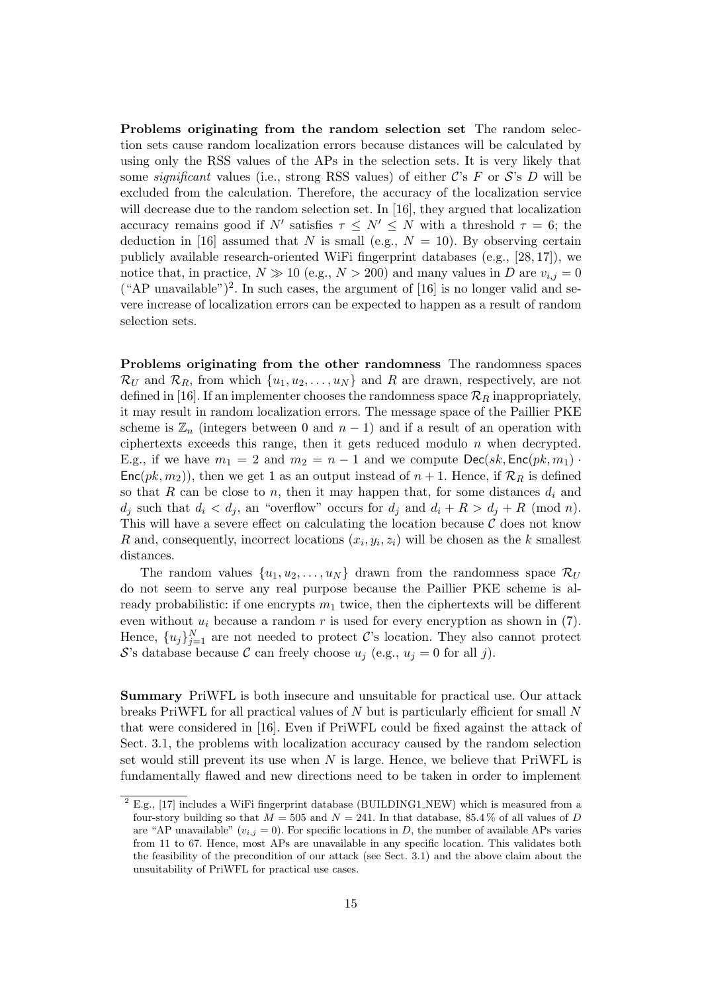Problems originating from the random selection set The random selection sets cause random localization errors because distances will be calculated by using only the RSS values of the APs in the selection sets. It is very likely that some *significant* values (i.e., strong RSS values) of either  $\mathcal{C}$ 's F or  $\mathcal{S}$ 's D will be excluded from the calculation. Therefore, the accuracy of the localization service will decrease due to the random selection set. In [16], they argued that localization accuracy remains good if N' satisfies  $\tau \leq N' \leq N$  with a threshold  $\tau = 6$ ; the deduction in [16] assumed that N is small (e.g.,  $N = 10$ ). By observing certain publicly available research-oriented WiFi fingerprint databases (e.g., [28, 17]), we notice that, in practice,  $N \gg 10$  (e.g.,  $N > 200$ ) and many values in D are  $v_{i,j} = 0$  $({}^\omega A$ P unavailable")<sup>2</sup>. In such cases, the argument of [16] is no longer valid and severe increase of localization errors can be expected to happen as a result of random selection sets.

Problems originating from the other randomness The randomness spaces  $\mathcal{R}_U$  and  $\mathcal{R}_R$ , from which  $\{u_1, u_2, \ldots, u_N\}$  and R are drawn, respectively, are not defined in [16]. If an implementer chooses the randomness space  $\mathcal{R}_R$  inappropriately, it may result in random localization errors. The message space of the Paillier PKE scheme is  $\mathbb{Z}_n$  (integers between 0 and  $n-1$ ) and if a result of an operation with ciphertexts exceeds this range, then it gets reduced modulo  $n$  when decrypted. E.g., if we have  $m_1 = 2$  and  $m_2 = n - 1$  and we compute  $\text{Dec}(sk, \text{Enc}(pk, m_1))$ .  $Enc(pk, m_2)$ , then we get 1 as an output instead of  $n + 1$ . Hence, if  $\mathcal{R}_R$  is defined so that R can be close to n, then it may happen that, for some distances  $d_i$  and  $d_j$  such that  $d_i < d_j$ , an "overflow" occurs for  $d_j$  and  $d_i + R > d_j + R$  (mod n). This will have a severe effect on calculating the location because  $\mathcal C$  does not know R and, consequently, incorrect locations  $(x_i, y_i, z_i)$  will be chosen as the k smallest distances.

The random values  $\{u_1, u_2, \ldots, u_N\}$  drawn from the randomness space  $\mathcal{R}_U$ do not seem to serve any real purpose because the Paillier PKE scheme is already probabilistic: if one encrypts  $m_1$  twice, then the ciphertexts will be different even without  $u_i$  because a random r is used for every encryption as shown in  $(7)$ . Hence,  ${u_j}_{j=1}^N$  are not needed to protect C's location. They also cannot protect S's database because C can freely choose  $u_i$  (e.g.,  $u_i = 0$  for all j).

Summary PriWFL is both insecure and unsuitable for practical use. Our attack breaks PriWFL for all practical values of N but is particularly efficient for small N that were considered in [16]. Even if PriWFL could be fixed against the attack of Sect. 3.1, the problems with localization accuracy caused by the random selection set would still prevent its use when  $N$  is large. Hence, we believe that  $PriWFL$  is fundamentally flawed and new directions need to be taken in order to implement

 $2$  E.g., [17] includes a WiFi fingerprint database (BUILDING1\_NEW) which is measured from a four-story building so that  $M = 505$  and  $N = 241$ . In that database, 85.4% of all values of D are "AP unavailable" ( $v_{i,j} = 0$ ). For specific locations in D, the number of available APs varies from 11 to 67. Hence, most APs are unavailable in any specific location. This validates both the feasibility of the precondition of our attack (see Sect. 3.1) and the above claim about the unsuitability of PriWFL for practical use cases.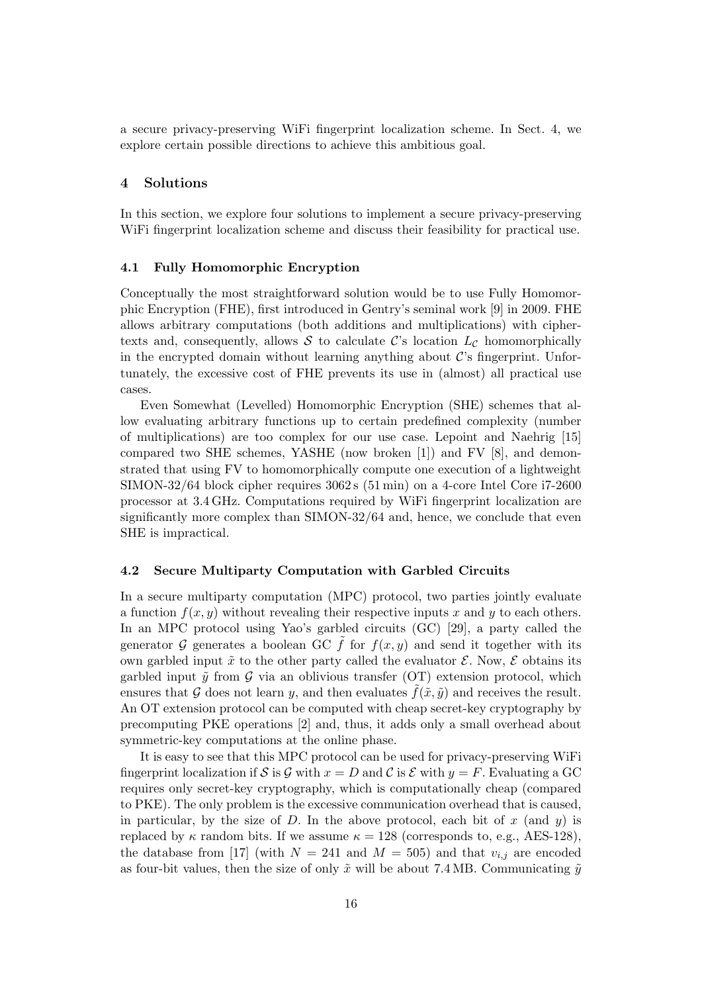a secure privacy-preserving WiFi fingerprint localization scheme. In Sect. 4, we explore certain possible directions to achieve this ambitious goal.

## 4 Solutions

In this section, we explore four solutions to implement a secure privacy-preserving WiFi fingerprint localization scheme and discuss their feasibility for practical use.

## 4.1 Fully Homomorphic Encryption

Conceptually the most straightforward solution would be to use Fully Homomorphic Encryption (FHE), first introduced in Gentry's seminal work [9] in 2009. FHE allows arbitrary computations (both additions and multiplications) with ciphertexts and, consequently, allows S to calculate C's location  $L_c$  homomorphically in the encrypted domain without learning anything about  $\mathcal{C}$ 's fingerprint. Unfortunately, the excessive cost of FHE prevents its use in (almost) all practical use cases.

Even Somewhat (Levelled) Homomorphic Encryption (SHE) schemes that allow evaluating arbitrary functions up to certain predefined complexity (number of multiplications) are too complex for our use case. Lepoint and Naehrig [15] compared two SHE schemes, YASHE (now broken [1]) and FV [8], and demonstrated that using FV to homomorphically compute one execution of a lightweight SIMON-32/64 block cipher requires 3062 s (51 min) on a 4-core Intel Core i7-2600 processor at 3.4 GHz. Computations required by WiFi fingerprint localization are significantly more complex than SIMON-32/64 and, hence, we conclude that even SHE is impractical.

## 4.2 Secure Multiparty Computation with Garbled Circuits

In a secure multiparty computation (MPC) protocol, two parties jointly evaluate a function  $f(x, y)$  without revealing their respective inputs x and y to each others. In an MPC protocol using Yao's garbled circuits (GC) [29], a party called the generator G generates a boolean GC  $\tilde{f}$  for  $f(x, y)$  and send it together with its own garbled input  $\tilde{x}$  to the other party called the evaluator  $\mathcal{E}$ . Now,  $\mathcal{E}$  obtains its garbled input  $\tilde{y}$  from  $\mathcal G$  via an oblivious transfer (OT) extension protocol, which ensures that G does not learn y, and then evaluates  $f(\tilde{x}, \tilde{y})$  and receives the result. An OT extension protocol can be computed with cheap secret-key cryptography by precomputing PKE operations [2] and, thus, it adds only a small overhead about symmetric-key computations at the online phase.

It is easy to see that this MPC protocol can be used for privacy-preserving WiFi fingerprint localization if S is G with  $x = D$  and C is E with  $y = F$ . Evaluating a GC requires only secret-key cryptography, which is computationally cheap (compared to PKE). The only problem is the excessive communication overhead that is caused, in particular, by the size of D. In the above protocol, each bit of x (and y) is replaced by  $\kappa$  random bits. If we assume  $\kappa = 128$  (corresponds to, e.g., AES-128), the database from [17] (with  $N = 241$  and  $M = 505$ ) and that  $v_{i,j}$  are encoded as four-bit values, then the size of only  $\tilde{x}$  will be about 7.4 MB. Communicating  $\tilde{y}$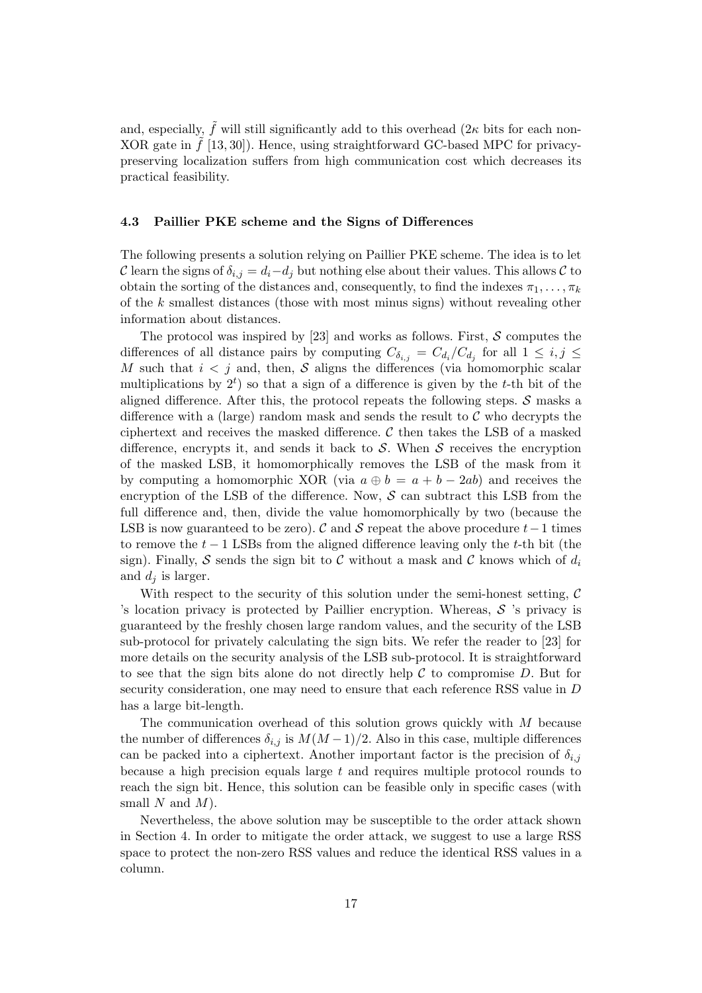and, especially,  $\tilde{f}$  will still significantly add to this overhead  $(2\kappa)$  bits for each non-XOR gate in  $f$  [13, 30]). Hence, using straightforward GC-based MPC for privacypreserving localization suffers from high communication cost which decreases its practical feasibility.

#### 4.3 Paillier PKE scheme and the Signs of Differences

The following presents a solution relying on Paillier PKE scheme. The idea is to let C learn the signs of  $\delta_{i,j} = d_i - d_j$  but nothing else about their values. This allows C to obtain the sorting of the distances and, consequently, to find the indexes  $\pi_1, \ldots, \pi_k$ of the k smallest distances (those with most minus signs) without revealing other information about distances.

The protocol was inspired by [23] and works as follows. First,  $S$  computes the differences of all distance pairs by computing  $C_{\delta_{i,j}} = C_{d_i}/C_{d_j}$  for all  $1 \leq i, j \leq j$ M such that  $i < j$  and, then, S aligns the differences (via homomorphic scalar multiplications by  $2^t$ ) so that a sign of a difference is given by the t-th bit of the aligned difference. After this, the protocol repeats the following steps.  $S$  masks a difference with a (large) random mask and sends the result to  $\mathcal C$  who decrypts the ciphertext and receives the masked difference.  $\mathcal C$  then takes the LSB of a masked difference, encrypts it, and sends it back to  $S$ . When  $S$  receives the encryption of the masked LSB, it homomorphically removes the LSB of the mask from it by computing a homomorphic XOR (via  $a \oplus b = a + b - 2ab$ ) and receives the encryption of the LSB of the difference. Now,  $\mathcal S$  can subtract this LSB from the full difference and, then, divide the value homomorphically by two (because the LSB is now guaranteed to be zero). C and S repeat the above procedure  $t-1$  times to remove the  $t - 1$  LSBs from the aligned difference leaving only the t-th bit (the sign). Finally, S sends the sign bit to C without a mask and C knows which of  $d_i$ and  $d_i$  is larger.

With respect to the security of this solution under the semi-honest setting,  $\mathcal{C}$ 's location privacy is protected by Paillier encryption. Whereas,  $S$  's privacy is guaranteed by the freshly chosen large random values, and the security of the LSB sub-protocol for privately calculating the sign bits. We refer the reader to [23] for more details on the security analysis of the LSB sub-protocol. It is straightforward to see that the sign bits alone do not directly help  $\mathcal C$  to compromise D. But for security consideration, one may need to ensure that each reference RSS value in  $D$ has a large bit-length.

The communication overhead of this solution grows quickly with M because the number of differences  $\delta_{i,j}$  is  $M(M-1)/2$ . Also in this case, multiple differences can be packed into a ciphertext. Another important factor is the precision of  $\delta_{i,j}$ because a high precision equals large  $t$  and requires multiple protocol rounds to reach the sign bit. Hence, this solution can be feasible only in specific cases (with small  $N$  and  $M$ ).

Nevertheless, the above solution may be susceptible to the order attack shown in Section 4. In order to mitigate the order attack, we suggest to use a large RSS space to protect the non-zero RSS values and reduce the identical RSS values in a column.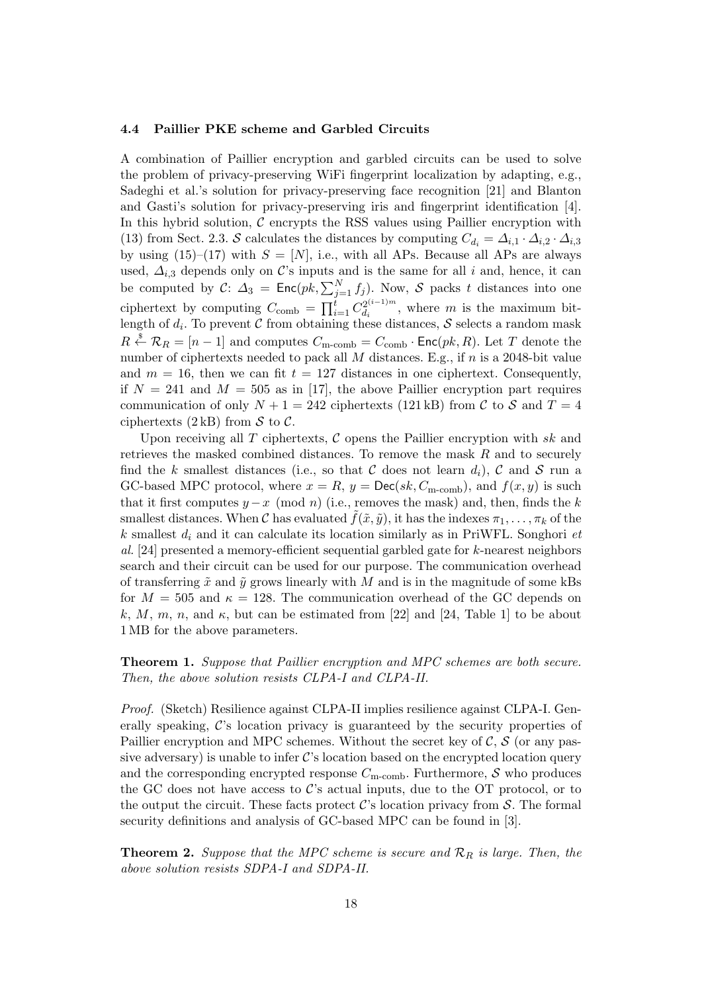## 4.4 Paillier PKE scheme and Garbled Circuits

A combination of Paillier encryption and garbled circuits can be used to solve the problem of privacy-preserving WiFi fingerprint localization by adapting, e.g., Sadeghi et al.'s solution for privacy-preserving face recognition [21] and Blanton and Gasti's solution for privacy-preserving iris and fingerprint identification [4]. In this hybrid solution,  $C$  encrypts the RSS values using Paillier encryption with (13) from Sect. 2.3. S calculates the distances by computing  $C_{d_i} = \Delta_{i,1} \cdot \Delta_{i,2} \cdot \Delta_{i,3}$ by using (15)–(17) with  $S = [N]$ , i.e., with all APs. Because all APs are always used,  $\Delta_{i,3}$  depends only on C's inputs and is the same for all i and, hence, it can be computed by  $C: \Delta_3 = \text{Enc}(pk, \sum_{j=1}^N f_j)$ . Now, S packs t distances into one ciphertext by computing  $C_{\text{comb}} = \prod_{i=1}^{t} C_{d_i}^{2^{(i-1)m}}$  $d_i^{2^{(i-1)m}}$ , where m is the maximum bitlength of  $d_i$ . To prevent  $\mathcal C$  from obtaining these distances,  $\mathcal S$  selects a random mask  $R \overset{\$}{\leftarrow} \mathcal{R}_R = [n-1]$  and computes  $C_{\text{m-comb}} = C_{\text{comb}} \cdot \text{Enc}(pk, R)$ . Let T denote the number of ciphertexts needed to pack all  $M$  distances. E.g., if  $n$  is a 2048-bit value and  $m = 16$ , then we can fit  $t = 127$  distances in one ciphertext. Consequently, if  $N = 241$  and  $M = 505$  as in [17], the above Paillier encryption part requires communication of only  $N + 1 = 242$  ciphertexts (121 kB) from C to S and  $T = 4$ ciphertexts  $(2kB)$  from S to C.

Upon receiving all T ciphertexts,  $\mathcal C$  opens the Paillier encryption with sk and retrieves the masked combined distances. To remove the mask R and to securely find the k smallest distances (i.e., so that C does not learn  $d_i$ ), C and S run a GC-based MPC protocol, where  $x = R$ ,  $y = \text{Dec}(sk, C_{\text{m-comb}})$ , and  $f(x, y)$  is such that it first computes  $y - x \pmod{n}$  (i.e., removes the mask) and, then, finds the k smallest distances. When C has evaluated  $f(\tilde{x}, \tilde{y})$ , it has the indexes  $\pi_1, \ldots, \pi_k$  of the  $k$  smallest  $d_i$  and it can calculate its location similarly as in PriWFL. Songhori  $et$ al. [24] presented a memory-efficient sequential garbled gate for  $k$ -nearest neighbors search and their circuit can be used for our purpose. The communication overhead of transferring  $\tilde{x}$  and  $\tilde{y}$  grows linearly with M and is in the magnitude of some kBs for  $M = 505$  and  $\kappa = 128$ . The communication overhead of the GC depends on k, M, m, n, and  $\kappa$ , but can be estimated from [22] and [24, Table 1] to be about 1 MB for the above parameters.

## **Theorem 1.** Suppose that Paillier encryption and MPC schemes are both secure. Then, the above solution resists CLPA-I and CLPA-II.

Proof. (Sketch) Resilience against CLPA-II implies resilience against CLPA-I. Generally speaking, C's location privacy is guaranteed by the security properties of Paillier encryption and MPC schemes. Without the secret key of  $\mathcal{C}, \mathcal{S}$  (or any passive adversary) is unable to infer  $\mathcal{C}$ 's location based on the encrypted location query and the corresponding encrypted response  $C_{\text{m-comb}}$ . Furthermore,  $S$  who produces the GC does not have access to  $\mathcal{C}$ 's actual inputs, due to the OT protocol, or to the output the circuit. These facts protect  $\mathcal{C}$ 's location privacy from  $\mathcal{S}$ . The formal security definitions and analysis of GC-based MPC can be found in [3].

**Theorem 2.** Suppose that the MPC scheme is secure and  $\mathcal{R}_R$  is large. Then, the above solution resists SDPA-I and SDPA-II.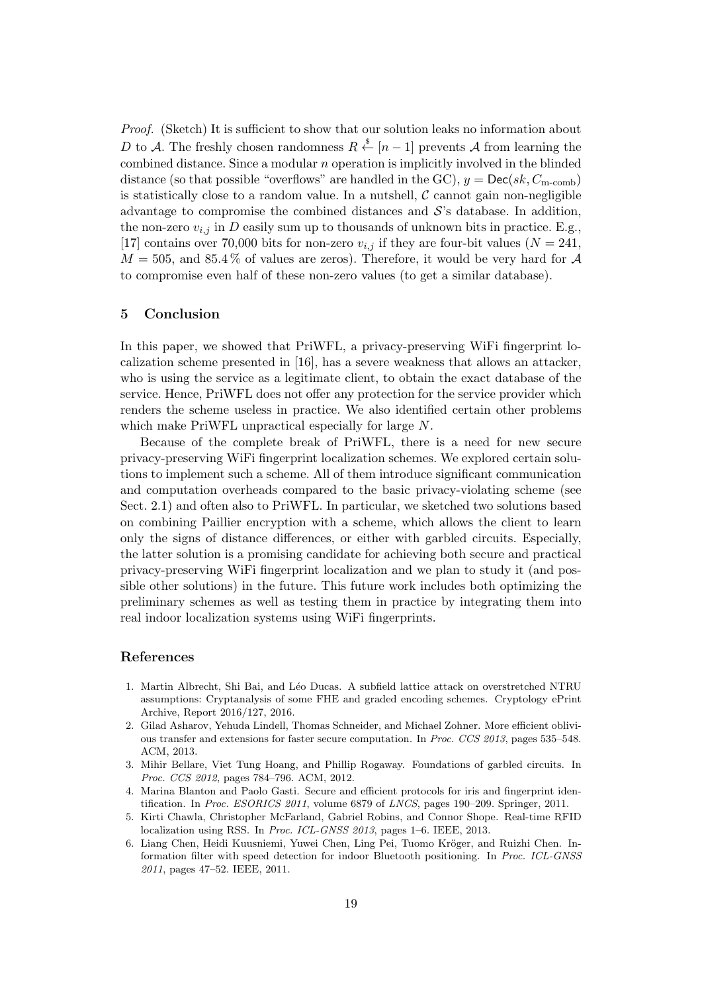Proof. (Sketch) It is sufficient to show that our solution leaks no information about D to A. The freshly chosen randomness  $R \stackrel{\$}{\leftarrow} [n-1]$  prevents A from learning the combined distance. Since a modular  $n$  operation is implicitly involved in the blinded distance (so that possible "overflows" are handled in the GC),  $y = \text{Dec}(sk, C_{\text{m-comb}})$ is statistically close to a random value. In a nutshell,  $C$  cannot gain non-negligible advantage to compromise the combined distances and  $\mathcal{S}'$ 's database. In addition, the non-zero  $v_{i,j}$  in D easily sum up to thousands of unknown bits in practice. E.g., [17] contains over 70,000 bits for non-zero  $v_{i,j}$  if they are four-bit values ( $N = 241$ ,  $M = 505$ , and 85.4% of values are zeros). Therefore, it would be very hard for A to compromise even half of these non-zero values (to get a similar database).

## 5 Conclusion

In this paper, we showed that PriWFL, a privacy-preserving WiFi fingerprint localization scheme presented in [16], has a severe weakness that allows an attacker, who is using the service as a legitimate client, to obtain the exact database of the service. Hence, PriWFL does not offer any protection for the service provider which renders the scheme useless in practice. We also identified certain other problems which make PriWFL unpractical especially for large N.

Because of the complete break of PriWFL, there is a need for new secure privacy-preserving WiFi fingerprint localization schemes. We explored certain solutions to implement such a scheme. All of them introduce significant communication and computation overheads compared to the basic privacy-violating scheme (see Sect. 2.1) and often also to PriWFL. In particular, we sketched two solutions based on combining Paillier encryption with a scheme, which allows the client to learn only the signs of distance differences, or either with garbled circuits. Especially, the latter solution is a promising candidate for achieving both secure and practical privacy-preserving WiFi fingerprint localization and we plan to study it (and possible other solutions) in the future. This future work includes both optimizing the preliminary schemes as well as testing them in practice by integrating them into real indoor localization systems using WiFi fingerprints.

## References

- 1. Martin Albrecht, Shi Bai, and L´eo Ducas. A subfield lattice attack on overstretched NTRU assumptions: Cryptanalysis of some FHE and graded encoding schemes. Cryptology ePrint Archive, Report 2016/127, 2016.
- 2. Gilad Asharov, Yehuda Lindell, Thomas Schneider, and Michael Zohner. More efficient oblivious transfer and extensions for faster secure computation. In Proc. CCS 2013, pages 535–548. ACM, 2013.
- 3. Mihir Bellare, Viet Tung Hoang, and Phillip Rogaway. Foundations of garbled circuits. In Proc. CCS 2012, pages 784–796. ACM, 2012.
- 4. Marina Blanton and Paolo Gasti. Secure and efficient protocols for iris and fingerprint identification. In Proc. ESORICS 2011, volume 6879 of LNCS, pages 190–209. Springer, 2011.
- 5. Kirti Chawla, Christopher McFarland, Gabriel Robins, and Connor Shope. Real-time RFID localization using RSS. In Proc. ICL-GNSS 2013, pages 1–6. IEEE, 2013.
- 6. Liang Chen, Heidi Kuusniemi, Yuwei Chen, Ling Pei, Tuomo Kröger, and Ruizhi Chen. Information filter with speed detection for indoor Bluetooth positioning. In Proc. ICL-GNSS 2011, pages 47–52. IEEE, 2011.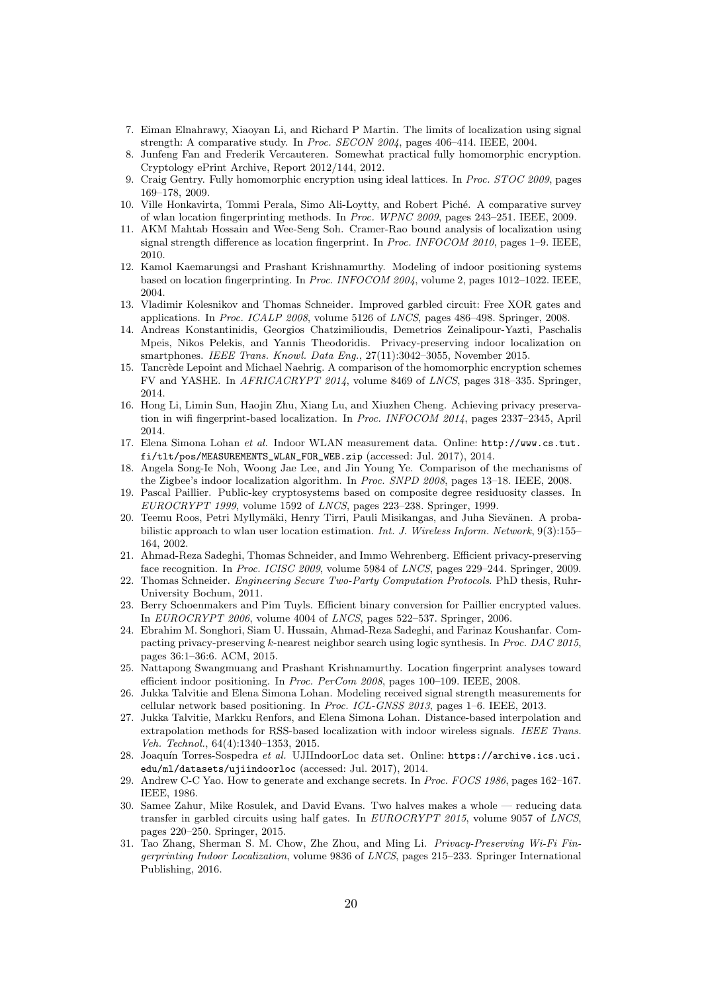- 7. Eiman Elnahrawy, Xiaoyan Li, and Richard P Martin. The limits of localization using signal strength: A comparative study. In Proc. SECON 2004, pages 406–414. IEEE, 2004.
- 8. Junfeng Fan and Frederik Vercauteren. Somewhat practical fully homomorphic encryption. Cryptology ePrint Archive, Report 2012/144, 2012.
- 9. Craig Gentry. Fully homomorphic encryption using ideal lattices. In Proc. STOC 2009, pages 169–178, 2009.
- 10. Ville Honkavirta, Tommi Perala, Simo Ali-Loytty, and Robert Pich´e. A comparative survey of wlan location fingerprinting methods. In Proc. WPNC 2009, pages 243–251. IEEE, 2009.
- 11. AKM Mahtab Hossain and Wee-Seng Soh. Cramer-Rao bound analysis of localization using signal strength difference as location fingerprint. In *Proc. INFOCOM 2010*, pages 1–9. IEEE, 2010.
- 12. Kamol Kaemarungsi and Prashant Krishnamurthy. Modeling of indoor positioning systems based on location fingerprinting. In Proc. INFOCOM 2004, volume 2, pages 1012–1022. IEEE, 2004.
- 13. Vladimir Kolesnikov and Thomas Schneider. Improved garbled circuit: Free XOR gates and applications. In Proc. ICALP 2008, volume 5126 of LNCS, pages 486–498. Springer, 2008.
- 14. Andreas Konstantinidis, Georgios Chatzimilioudis, Demetrios Zeinalipour-Yazti, Paschalis Mpeis, Nikos Pelekis, and Yannis Theodoridis. Privacy-preserving indoor localization on smartphones. IEEE Trans. Knowl. Data Eng., 27(11):3042–3055, November 2015.
- 15. Tancrède Lepoint and Michael Naehrig. A comparison of the homomorphic encryption schemes FV and YASHE. In AFRICACRYPT 2014, volume 8469 of LNCS, pages 318–335. Springer, 2014.
- 16. Hong Li, Limin Sun, Haojin Zhu, Xiang Lu, and Xiuzhen Cheng. Achieving privacy preservation in wifi fingerprint-based localization. In Proc. INFOCOM 2014, pages 2337–2345, April 2014.
- 17. Elena Simona Lohan et al. Indoor WLAN measurement data. Online: http://www.cs.tut. fi/tlt/pos/MEASUREMENTS\_WLAN\_FOR\_WEB.zip (accessed: Jul. 2017), 2014.
- 18. Angela Song-Ie Noh, Woong Jae Lee, and Jin Young Ye. Comparison of the mechanisms of the Zigbee's indoor localization algorithm. In Proc. SNPD 2008, pages 13–18. IEEE, 2008.
- 19. Pascal Paillier. Public-key cryptosystems based on composite degree residuosity classes. In EUROCRYPT 1999, volume 1592 of LNCS, pages 223–238. Springer, 1999.
- 20. Teemu Roos, Petri Myllymäki, Henry Tirri, Pauli Misikangas, and Juha Sievänen. A probabilistic approach to wlan user location estimation. *Int. J. Wireless Inform. Network*, 9(3):155– 164, 2002.
- 21. Ahmad-Reza Sadeghi, Thomas Schneider, and Immo Wehrenberg. Efficient privacy-preserving face recognition. In Proc. ICISC 2009, volume 5984 of LNCS, pages 229–244. Springer, 2009.
- 22. Thomas Schneider. Engineering Secure Two-Party Computation Protocols. PhD thesis, Ruhr-University Bochum, 2011.
- 23. Berry Schoenmakers and Pim Tuyls. Efficient binary conversion for Paillier encrypted values. In EUROCRYPT 2006, volume 4004 of LNCS, pages 522–537. Springer, 2006.
- 24. Ebrahim M. Songhori, Siam U. Hussain, Ahmad-Reza Sadeghi, and Farinaz Koushanfar. Compacting privacy-preserving k-nearest neighbor search using logic synthesis. In Proc. DAC 2015, pages 36:1–36:6. ACM, 2015.
- 25. Nattapong Swangmuang and Prashant Krishnamurthy. Location fingerprint analyses toward efficient indoor positioning. In Proc. PerCom 2008, pages 100–109. IEEE, 2008.
- 26. Jukka Talvitie and Elena Simona Lohan. Modeling received signal strength measurements for cellular network based positioning. In Proc. ICL-GNSS 2013, pages 1–6. IEEE, 2013.
- 27. Jukka Talvitie, Markku Renfors, and Elena Simona Lohan. Distance-based interpolation and extrapolation methods for RSS-based localization with indoor wireless signals. IEEE Trans. Veh. Technol., 64(4):1340–1353, 2015.
- 28. Joaquín Torres-Sospedra et al. UJIIndoorLoc data set. Online: https://archive.ics.uci. edu/ml/datasets/ujiindoorloc (accessed: Jul. 2017), 2014.
- 29. Andrew C-C Yao. How to generate and exchange secrets. In Proc. FOCS 1986, pages 162–167. IEEE, 1986.
- 30. Samee Zahur, Mike Rosulek, and David Evans. Two halves makes a whole reducing data transfer in garbled circuits using half gates. In EUROCRYPT 2015, volume 9057 of LNCS, pages 220–250. Springer, 2015.
- 31. Tao Zhang, Sherman S. M. Chow, Zhe Zhou, and Ming Li. Privacy-Preserving Wi-Fi Fingerprinting Indoor Localization, volume 9836 of LNCS, pages 215–233. Springer International Publishing, 2016.